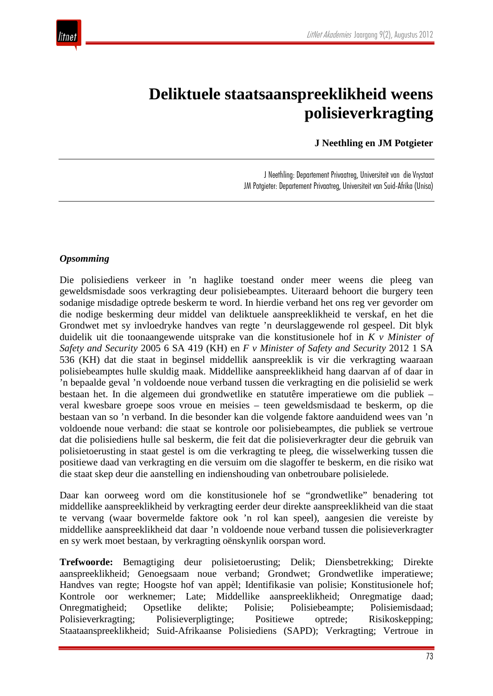

# **Deliktuele staatsaanspreeklikheid weens polisieverkragting**

 **J Neethling en JM Potgieter**

J Neethling: Departement Privaatreg, Universiteit van die Vrystaat JM Potgieter: Departement Privaatreg, Universiteit van Suid-Afrika (Unisa)

#### *Opsomming*

Die polisiediens verkeer in 'n haglike toestand onder meer weens die pleeg van geweldsmisdade soos verkragting deur polisiebeamptes. Uiteraard behoort die burgery teen sodanige misdadige optrede beskerm te word. In hierdie verband het ons reg ver gevorder om die nodige beskerming deur middel van deliktuele aanspreeklikheid te verskaf, en het die Grondwet met sy invloedryke handves van regte 'n deurslaggewende rol gespeel. Dit blyk duidelik uit die toonaangewende uitsprake van die konstitusionele hof in *K v Minister of Safety and Security* 2005 6 SA 419 (KH) en *F v Minister of Safety and Security* 2012 1 SA 536 (KH) dat die staat in beginsel middellik aanspreeklik is vir die verkragting waaraan polisiebeamptes hulle skuldig maak. Middellike aanspreeklikheid hang daarvan af of daar in 'n bepaalde geval 'n voldoende noue verband tussen die verkragting en die polisielid se werk bestaan het. In die algemeen dui grondwetlike en statutêre imperatiewe om die publiek – veral kwesbare groepe soos vroue en meisies – teen geweldsmisdaad te beskerm, op die bestaan van so 'n verband. In die besonder kan die volgende faktore aanduidend wees van 'n voldoende noue verband: die staat se kontrole oor polisiebeamptes, die publiek se vertroue dat die polisiediens hulle sal beskerm, die feit dat die polisieverkragter deur die gebruik van polisietoerusting in staat gestel is om die verkragting te pleeg, die wisselwerking tussen die positiewe daad van verkragting en die versuim om die slagoffer te beskerm, en die risiko wat die staat skep deur die aanstelling en indienshouding van onbetroubare polisielede.

Daar kan oorweeg word om die konstitusionele hof se "grondwetlike" benadering tot middellike aanspreeklikheid by verkragting eerder deur direkte aanspreeklikheid van die staat te vervang (waar bovermelde faktore ook 'n rol kan speel), aangesien die vereiste by middellike aanspreeklikheid dat daar 'n voldoende noue verband tussen die polisieverkragter en sy werk moet bestaan, by verkragting oënskynlik oorspan word.

**Trefwoorde:** Bemagtiging deur polisietoerusting; Delik; Diensbetrekking; Direkte aanspreeklikheid; Genoegsaam noue verband; Grondwet; Grondwetlike imperatiewe; Handves van regte; Hoogste hof van appèl; Identifikasie van polisie; Konstitusionele hof; Kontrole oor werknemer; Late; Middellike aanspreeklikheid; Onregmatige daad; Onregmatigheid; Opsetlike delikte; Polisie; Polisiebeampte; Polisiemisdaad; Polisieverkragting; Polisieverpligtinge; Positiewe optrede; Risikoskepping; Staataanspreeklikheid; Suid-Afrikaanse Polisiediens (SAPD); Verkragting; Vertroue in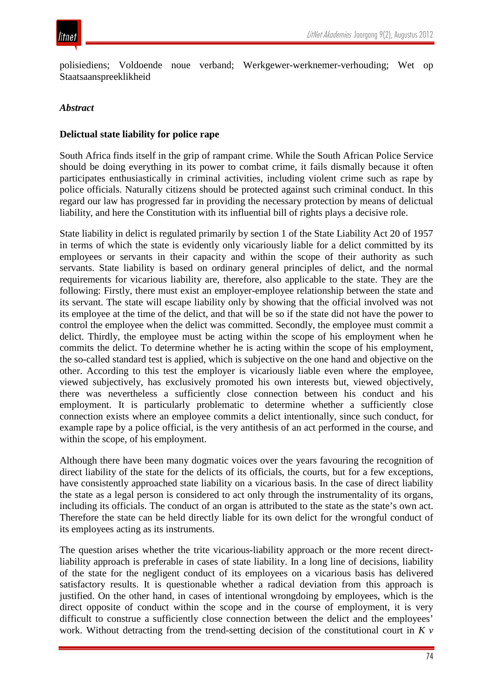

polisiediens; Voldoende noue verband; Werkgewer-werknemer-verhouding; Wet op Staatsaanspreeklikheid

#### *Abstract*

#### **Delictual state liability for police rape**

South Africa finds itself in the grip of rampant crime. While the South African Police Service should be doing everything in its power to combat crime, it fails dismally because it often participates enthusiastically in criminal activities, including violent crime such as rape by police officials. Naturally citizens should be protected against such criminal conduct. In this regard our law has progressed far in providing the necessary protection by means of delictual liability, and here the Constitution with its influential bill of rights plays a decisive role.

State liability in delict is regulated primarily by section 1 of the State Liability Act 20 of 1957 in terms of which the state is evidently only vicariously liable for a delict committed by its employees or servants in their capacity and within the scope of their authority as such servants. State liability is based on ordinary general principles of delict, and the normal requirements for vicarious liability are, therefore, also applicable to the state. They are the following: Firstly, there must exist an employer-employee relationship between the state and its servant. The state will escape liability only by showing that the official involved was not its employee at the time of the delict, and that will be so if the state did not have the power to control the employee when the delict was committed. Secondly, the employee must commit a delict. Thirdly, the employee must be acting within the scope of his employment when he commits the delict. To determine whether he is acting within the scope of his employment, the so-called standard test is applied, which is subjective on the one hand and objective on the other. According to this test the employer is vicariously liable even where the employee, viewed subjectively, has exclusively promoted his own interests but, viewed objectively, there was nevertheless a sufficiently close connection between his conduct and his employment. It is particularly problematic to determine whether a sufficiently close connection exists where an employee commits a delict intentionally, since such conduct, for example rape by a police official, is the very antithesis of an act performed in the course, and within the scope, of his employment.

Although there have been many dogmatic voices over the years favouring the recognition of direct liability of the state for the delicts of its officials, the courts, but for a few exceptions, have consistently approached state liability on a vicarious basis. In the case of direct liability the state as a legal person is considered to act only through the instrumentality of its organs, including its officials. The conduct of an organ is attributed to the state as the state's own act. Therefore the state can be held directly liable for its own delict for the wrongful conduct of its employees acting as its instruments.

The question arises whether the trite vicarious-liability approach or the more recent directliability approach is preferable in cases of state liability. In a long line of decisions, liability of the state for the negligent conduct of its employees on a vicarious basis has delivered satisfactory results. It is questionable whether a radical deviation from this approach is justified. On the other hand, in cases of intentional wrongdoing by employees, which is the direct opposite of conduct within the scope and in the course of employment, it is very difficult to construe a sufficiently close connection between the delict and the employees' work. Without detracting from the trend-setting decision of the constitutional court in *K v*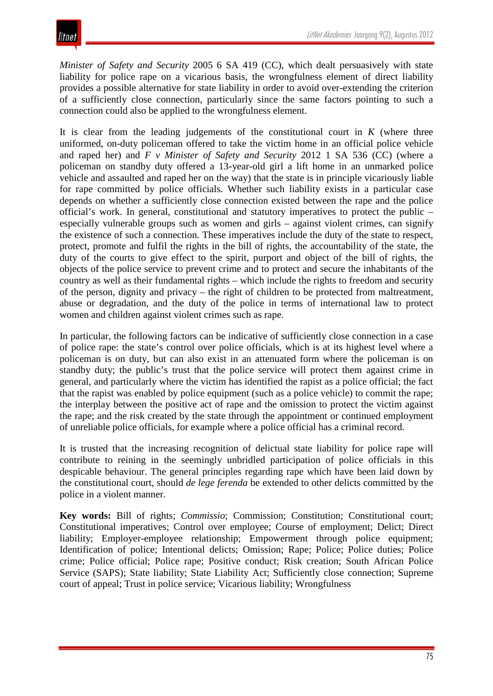*Minister of Safety and Security* 2005 6 SA 419 (CC), which dealt persuasively with state liability for police rape on a vicarious basis, the wrongfulness element of direct liability provides a possible alternative for state liability in order to avoid over-extending the criterion of a sufficiently close connection, particularly since the same factors pointing to such a connection could also be applied to the wrongfulness element.

It is clear from the leading judgements of the constitutional court in  $K$  (where three uniformed, on-duty policeman offered to take the victim home in an official police vehicle and raped her) and *F v Minister of Safety and Security* 2012 1 SA 536 (CC) (where a policeman on standby duty offered a 13-year-old girl a lift home in an unmarked police vehicle and assaulted and raped her on the way) that the state is in principle vicariously liable for rape committed by police officials. Whether such liability exists in a particular case depends on whether a sufficiently close connection existed between the rape and the police official's work. In general, constitutional and statutory imperatives to protect the public – especially vulnerable groups such as women and girls – against violent crimes, can signify the existence of such a connection. These imperatives include the duty of the state to respect, protect, promote and fulfil the rights in the bill of rights, the accountability of the state, the duty of the courts to give effect to the spirit, purport and object of the bill of rights, the objects of the police service to prevent crime and to protect and secure the inhabitants of the country as well as their fundamental rights – which include the rights to freedom and security of the person, dignity and privacy – the right of children to be protected from maltreatment, abuse or degradation, and the duty of the police in terms of international law to protect women and children against violent crimes such as rape.

In particular, the following factors can be indicative of sufficiently close connection in a case of police rape: the state's control over police officials, which is at its highest level where a policeman is on duty, but can also exist in an attenuated form where the policeman is on standby duty; the public's trust that the police service will protect them against crime in general, and particularly where the victim has identified the rapist as a police official; the fact that the rapist was enabled by police equipment (such as a police vehicle) to commit the rape; the interplay between the positive act of rape and the omission to protect the victim against the rape; and the risk created by the state through the appointment or continued employment of unreliable police officials, for example where a police official has a criminal record.

It is trusted that the increasing recognition of delictual state liability for police rape will contribute to reining in the seemingly unbridled participation of police officials in this despicable behaviour. The general principles regarding rape which have been laid down by the constitutional court, should *de lege ferenda* be extended to other delicts committed by the police in a violent manner.

**Key words:** Bill of rights; *Commissio*; Commission; Constitution; Constitutional court; Constitutional imperatives; Control over employee; Course of employment; Delict; Direct liability; Employer-employee relationship; Empowerment through police equipment; Identification of police; Intentional delicts; Omission; Rape; Police; Police duties; Police crime; Police official; Police rape; Positive conduct; Risk creation; South African Police Service (SAPS); State liability; State Liability Act; Sufficiently close connection; Supreme court of appeal; Trust in police service; Vicarious liability; Wrongfulness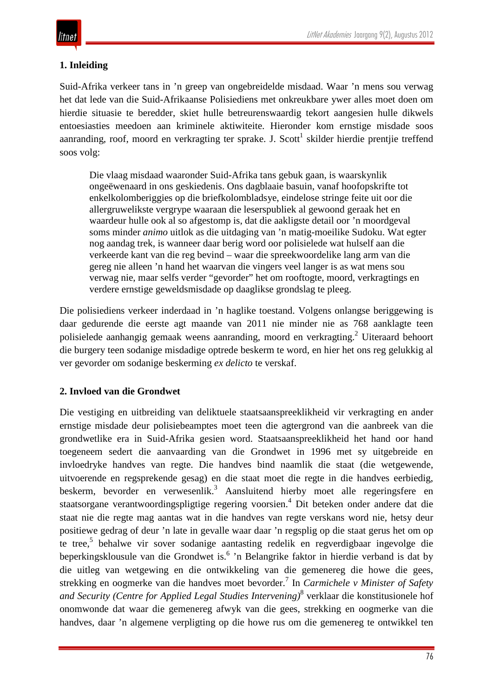### **1. Inleiding**

Suid-Afrika verkeer tans in 'n greep van ongebreidelde misdaad. Waar 'n mens sou verwag het dat lede van die Suid-Afrikaanse Polisiediens met onkreukbare ywer alles moet doen om hierdie situasie te beredder, skiet hulle betreurenswaardig tekort aangesien hulle dikwels entoesiasties meedoen aan kriminele aktiwiteite. Hieronder kom ernstige misdade soos aanranding, roof, moord en verkragting ter sprake. J. Scott<sup>1</sup> skilder hierdie prentjie treffend soos volg:

Die vlaag misdaad waaronder Suid-Afrika tans gebuk gaan, is waarskynlik ongeëwenaard in ons geskiedenis. Ons dagblaaie basuin, vanaf hoofopskrifte tot enkelkolomberiggies op die briefkolombladsye, eindelose stringe feite uit oor die allergruwelikste vergrype waaraan die leserspubliek al gewoond geraak het en waardeur hulle ook al so afgestomp is, dat die aakligste detail oor 'n moordgeval soms minder *animo* uitlok as die uitdaging van 'n matig-moeilike Sudoku. Wat egter nog aandag trek, is wanneer daar berig word oor polisielede wat hulself aan die verkeerde kant van die reg bevind – waar die spreekwoordelike lang arm van die gereg nie alleen 'n hand het waarvan die vingers veel langer is as wat mens sou verwag nie, maar selfs verder "gevorder" het om rooftogte, moord, verkragtings en verdere ernstige geweldsmisdade op daaglikse grondslag te pleeg.

Die polisiediens verkeer inderdaad in 'n haglike toestand. Volgens onlangse beriggewing is daar gedurende die eerste agt maande van 2011 nie minder nie as 768 aanklagte teen polisielede aanhangig gemaak weens aanranding, moord en verkragting.<sup>2</sup> Uiteraard behoort die burgery teen sodanige misdadige optrede beskerm te word, en hier het ons reg gelukkig al ver gevorder om sodanige beskerming *ex delicto* te verskaf.

#### **2. Invloed van die Grondwet**

Die vestiging en uitbreiding van deliktuele staatsaanspreeklikheid vir verkragting en ander ernstige misdade deur polisiebeamptes moet teen die agtergrond van die aanbreek van die grondwetlike era in Suid-Afrika gesien word. Staatsaanspreeklikheid het hand oor hand toegeneem sedert die aanvaarding van die Grondwet in 1996 met sy uitgebreide en invloedryke handves van regte. Die handves bind naamlik die staat (die wetgewende, uitvoerende en regsprekende gesag) en die staat moet die regte in die handves eerbiedig, beskerm, bevorder en verwesenlik.<sup>3</sup> Aansluitend hierby moet alle regeringsfere en staatsorgane verantwoordingspligtige regering voorsien.<sup>4</sup> Dit beteken onder andere dat die staat nie die regte mag aantas wat in die handves van regte verskans word nie, hetsy deur positiewe gedrag of deur 'n late in gevalle waar daar 'n regsplig op die staat gerus het om op te tree,<sup>5</sup> behalwe vir sover sodanige aantasting redelik en regverdigbaar ingevolge die beperkingsklousule van die Grondwet is.<sup>6</sup> 'n Belangrike faktor in hierdie verband is dat by die uitleg van wetgewing en die ontwikkeling van die gemenereg die howe die gees, strekking en oogmerke van die handves moet bevorder.7 In *Carmichele v Minister of Safety and Security (Centre for Applied Legal Studies Intervening)*<sup>8</sup> verklaar die konstitusionele hof onomwonde dat waar die gemenereg afwyk van die gees, strekking en oogmerke van die handves, daar 'n algemene verpligting op die howe rus om die gemenereg te ontwikkel ten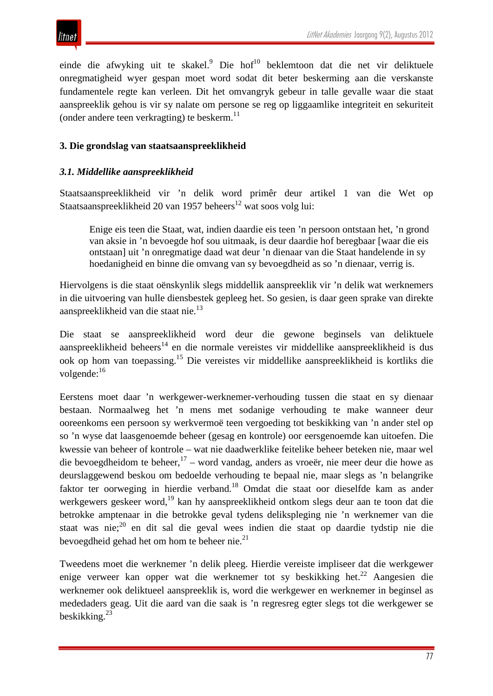

einde die afwyking uit te skakel.<sup>9</sup> Die hof<sup>10</sup> beklemtoon dat die net vir deliktuele onregmatigheid wyer gespan moet word sodat dit beter beskerming aan die verskanste fundamentele regte kan verleen. Dit het omvangryk gebeur in talle gevalle waar die staat aanspreeklik gehou is vir sy nalate om persone se reg op liggaamlike integriteit en sekuriteit (onder andere teen verkragting) te beskerm. $^{11}$ 

#### **3. Die grondslag van staatsaanspreeklikheid**

#### *3.1. Middellike aanspreeklikheid*

Staatsaanspreeklikheid vir 'n delik word primêr deur artikel 1 van die Wet op Staatsaanspreeklikheid 20 van 1957 beheers<sup>12</sup> wat soos volg lui:

Enige eis teen die Staat, wat, indien daardie eis teen 'n persoon ontstaan het, 'n grond van aksie in 'n bevoegde hof sou uitmaak, is deur daardie hof beregbaar [waar die eis ontstaan] uit 'n onregmatige daad wat deur 'n dienaar van die Staat handelende in sy hoedanigheid en binne die omvang van sy bevoegdheid as so 'n dienaar, verrig is.

Hiervolgens is die staat oënskynlik slegs middellik aanspreeklik vir 'n delik wat werknemers in die uitvoering van hulle diensbestek gepleeg het. So gesien, is daar geen sprake van direkte aanspreeklikheid van die staat nie.<sup>13</sup>

Die staat se aanspreeklikheid word deur die gewone beginsels van deliktuele aanspreeklikheid beheers<sup>14</sup> en die normale vereistes vir middellike aanspreeklikheid is dus ook op hom van toepassing.15 Die vereistes vir middellike aanspreeklikheid is kortliks die volgende:<sup>16</sup>

Eerstens moet daar 'n werkgewer-werknemer-verhouding tussen die staat en sy dienaar bestaan. Normaalweg het 'n mens met sodanige verhouding te make wanneer deur ooreenkoms een persoon sy werkvermoë teen vergoeding tot beskikking van 'n ander stel op so 'n wyse dat laasgenoemde beheer (gesag en kontrole) oor eersgenoemde kan uitoefen. Die kwessie van beheer of kontrole – wat nie daadwerklike feitelike beheer beteken nie, maar wel die bevoegdheidom te beheer,  $17 -$  word vandag, anders as vroeër, nie meer deur die howe as deurslaggewend beskou om bedoelde verhouding te bepaal nie, maar slegs as 'n belangrike faktor ter oorweging in hierdie verband.18 Omdat die staat oor dieselfde kam as ander werkgewers geskeer word,<sup>19</sup> kan hy aanspreeklikheid ontkom slegs deur aan te toon dat die betrokke amptenaar in die betrokke geval tydens delikspleging nie 'n werknemer van die staat was nie;<sup>20</sup> en dit sal die geval wees indien die staat op daardie tydstip nie die bevoegdheid gehad het om hom te beheer nie. $^{21}$ 

Tweedens moet die werknemer 'n delik pleeg. Hierdie vereiste impliseer dat die werkgewer enige verweer kan opper wat die werknemer tot sy beskikking het.<sup>22</sup> Aangesien die werknemer ook deliktueel aanspreeklik is, word die werkgewer en werknemer in beginsel as mededaders geag. Uit die aard van die saak is 'n regresreg egter slegs tot die werkgewer se beskikking. 23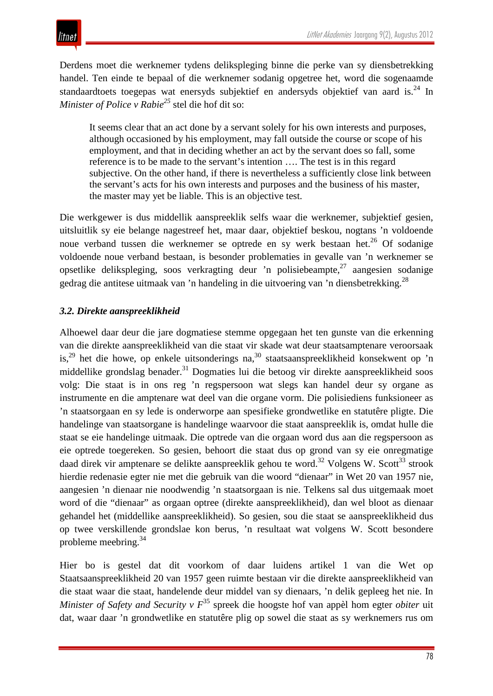

Derdens moet die werknemer tydens delikspleging binne die perke van sy diensbetrekking handel. Ten einde te bepaal of die werknemer sodanig opgetree het, word die sogenaamde standaardtoets toegepas wat enersyds subjektief en andersyds objektief van aard is.<sup>24</sup> In *Minister of Police v Rabie25* stel die hof dit so:

It seems clear that an act done by a servant solely for his own interests and purposes, although occasioned by his employment, may fall outside the course or scope of his employment, and that in deciding whether an act by the servant does so fall, some reference is to be made to the servant's intention …. The test is in this regard subjective. On the other hand, if there is nevertheless a sufficiently close link between the servant's acts for his own interests and purposes and the business of his master, the master may yet be liable. This is an objective test.

Die werkgewer is dus middellik aanspreeklik selfs waar die werknemer, subjektief gesien, uitsluitlik sy eie belange nagestreef het, maar daar, objektief beskou, nogtans 'n voldoende noue verband tussen die werknemer se optrede en sy werk bestaan het.<sup>26</sup> Of sodanige voldoende noue verband bestaan, is besonder problematies in gevalle van 'n werknemer se opsetlike delikspleging, soos verkragting deur 'n polisiebeampte,  $27$  aangesien sodanige gedrag die antitese uitmaak van 'n handeling in die uitvoering van 'n diensbetrekking.28

#### *3.2. Direkte aanspreeklikheid*

Alhoewel daar deur die jare dogmatiese stemme opgegaan het ten gunste van die erkenning van die direkte aanspreeklikheid van die staat vir skade wat deur staatsamptenare veroorsaak is,<sup>29</sup> het die howe, op enkele uitsonderings na,<sup>30</sup> staatsaanspreeklikheid konsekwent op 'n middellike grondslag benader.<sup>31</sup> Dogmaties lui die betoog vir direkte aanspreeklikheid soos volg: Die staat is in ons reg 'n regspersoon wat slegs kan handel deur sy organe as instrumente en die amptenare wat deel van die organe vorm. Die polisiediens funksioneer as 'n staatsorgaan en sy lede is onderworpe aan spesifieke grondwetlike en statutêre pligte. Die handelinge van staatsorgane is handelinge waarvoor die staat aanspreeklik is, omdat hulle die staat se eie handelinge uitmaak. Die optrede van die orgaan word dus aan die regspersoon as eie optrede toegereken. So gesien, behoort die staat dus op grond van sy eie onregmatige daad direk vir amptenare se delikte aanspreeklik gehou te word.<sup>32</sup> Volgens W. Scott<sup>33</sup> strook hierdie redenasie egter nie met die gebruik van die woord "dienaar" in Wet 20 van 1957 nie, aangesien 'n dienaar nie noodwendig 'n staatsorgaan is nie. Telkens sal dus uitgemaak moet word of die "dienaar" as orgaan optree (direkte aanspreeklikheid), dan wel bloot as dienaar gehandel het (middellike aanspreeklikheid). So gesien, sou die staat se aanspreeklikheid dus op twee verskillende grondslae kon berus, 'n resultaat wat volgens W. Scott besondere probleme meebring.34

Hier bo is gestel dat dit voorkom of daar luidens artikel 1 van die Wet op Staatsaanspreeklikheid 20 van 1957 geen ruimte bestaan vir die direkte aanspreeklikheid van die staat waar die staat, handelende deur middel van sy dienaars, 'n delik gepleeg het nie. In *Minister of Safety and Security v F*<sup>35</sup> spreek die hoogste hof van appèl hom egter *obiter* uit dat, waar daar 'n grondwetlike en statutêre plig op sowel die staat as sy werknemers rus om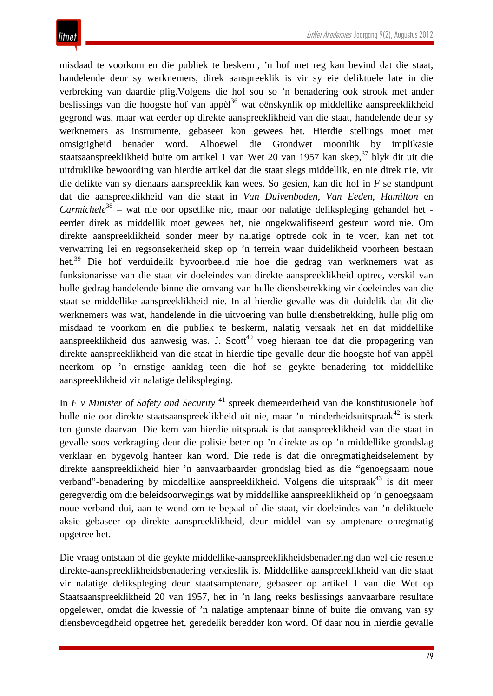misdaad te voorkom en die publiek te beskerm, 'n hof met reg kan bevind dat die staat, handelende deur sy werknemers, direk aanspreeklik is vir sy eie deliktuele late in die verbreking van daardie plig.Volgens die hof sou so 'n benadering ook strook met ander beslissings van die hoogste hof van appèl<sup>36</sup> wat oënskynlik op middellike aanspreeklikheid gegrond was, maar wat eerder op direkte aanspreeklikheid van die staat, handelende deur sy werknemers as instrumente, gebaseer kon gewees het. Hierdie stellings moet met omsigtigheid benader word. Alhoewel die Grondwet moontlik by implikasie staatsaanspreeklikheid buite om artikel 1 van Wet 20 van 1957 kan skep,  $37$  blyk dit uit die uitdruklike bewoording van hierdie artikel dat die staat slegs middellik, en nie direk nie, vir die delikte van sy dienaars aanspreeklik kan wees. So gesien, kan die hof in *F* se standpunt dat die aanspreeklikheid van die staat in *Van Duivenboden*, *Van Eeden*, *Hamilton* en *Carmichele*<sup>38</sup> – wat nie oor opsetlike nie, maar oor nalatige delikspleging gehandel het eerder direk as middellik moet gewees het, nie ongekwalifiseerd gesteun word nie. Om direkte aanspreeklikheid sonder meer by nalatige optrede ook in te voer, kan net tot verwarring lei en regsonsekerheid skep op 'n terrein waar duidelikheid voorheen bestaan het.<sup>39</sup> Die hof verduidelik byvoorbeeld nie hoe die gedrag van werknemers wat as funksionarisse van die staat vir doeleindes van direkte aanspreeklikheid optree, verskil van hulle gedrag handelende binne die omvang van hulle diensbetrekking vir doeleindes van die staat se middellike aanspreeklikheid nie. In al hierdie gevalle was dit duidelik dat dit die werknemers was wat, handelende in die uitvoering van hulle diensbetrekking, hulle plig om misdaad te voorkom en die publiek te beskerm, nalatig versaak het en dat middellike aanspreeklikheid dus aanwesig was. J. Scott<sup>40</sup> voeg hieraan toe dat die propagering van direkte aanspreeklikheid van die staat in hierdie tipe gevalle deur die hoogste hof van appèl neerkom op 'n ernstige aanklag teen die hof se geykte benadering tot middellike aanspreeklikheid vir nalatige delikspleging.

In *F v Minister of Safety and Security* <sup>41</sup> spreek diemeerderheid van die konstitusionele hof hulle nie oor direkte staatsaanspreeklikheid uit nie, maar 'n minderheidsuitspraak<sup>42</sup> is sterk ten gunste daarvan. Die kern van hierdie uitspraak is dat aanspreeklikheid van die staat in gevalle soos verkragting deur die polisie beter op 'n direkte as op 'n middellike grondslag verklaar en bygevolg hanteer kan word. Die rede is dat die onregmatigheidselement by direkte aanspreeklikheid hier 'n aanvaarbaarder grondslag bied as die "genoegsaam noue verband"-benadering by middellike aanspreeklikheid. Volgens die uitspraak $43$  is dit meer geregverdig om die beleidsoorwegings wat by middellike aanspreeklikheid op 'n genoegsaam noue verband dui, aan te wend om te bepaal of die staat, vir doeleindes van 'n deliktuele aksie gebaseer op direkte aanspreeklikheid, deur middel van sy amptenare onregmatig opgetree het.

Die vraag ontstaan of die geykte middellike-aanspreeklikheidsbenadering dan wel die resente direkte-aanspreeklikheidsbenadering verkieslik is. Middellike aanspreeklikheid van die staat vir nalatige delikspleging deur staatsamptenare, gebaseer op artikel 1 van die Wet op Staatsaanspreeklikheid 20 van 1957, het in 'n lang reeks beslissings aanvaarbare resultate opgelewer, omdat die kwessie of 'n nalatige amptenaar binne of buite die omvang van sy diensbevoegdheid opgetree het, geredelik beredder kon word. Of daar nou in hierdie gevalle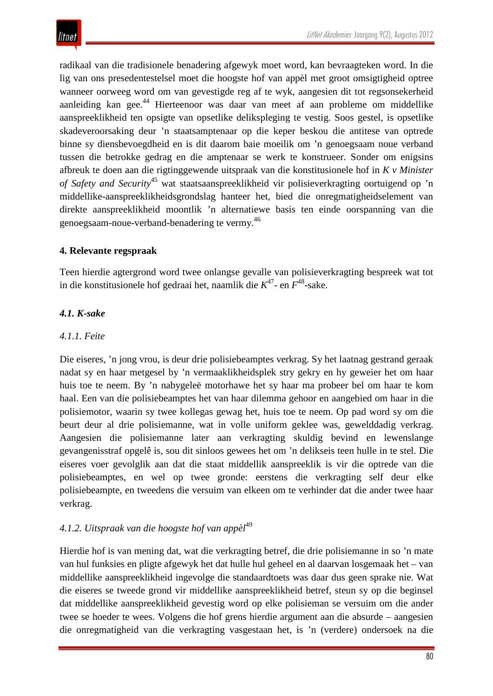radikaal van die tradisionele benadering afgewyk moet word, kan bevraagteken word. In die lig van ons presedentestelsel moet die hoogste hof van appèl met groot omsigtigheid optree wanneer oorweeg word om van gevestigde reg af te wyk, aangesien dit tot regsonsekerheid aanleiding kan gee.<sup>44</sup> Hierteenoor was daar van meet af aan probleme om middellike aanspreeklikheid ten opsigte van opsetlike delikspleging te vestig. Soos gestel, is opsetlike skadeveroorsaking deur 'n staatsamptenaar op die keper beskou die antitese van optrede binne sy diensbevoegdheid en is dit daarom baie moeilik om 'n genoegsaam noue verband tussen die betrokke gedrag en die amptenaar se werk te konstrueer. Sonder om enigsins afbreuk te doen aan die rigtinggewende uitspraak van die konstitusionele hof in *K v Minister of Safety and Security*<sup>45</sup> wat staatsaanspreeklikheid vir polisieverkragting oortuigend op 'n middellike-aanspreeklikheidsgrondslag hanteer het, bied die onregmatigheidselement van direkte aanspreeklikheid moontlik 'n alternatiewe basis ten einde oorspanning van die genoegsaam-noue-verband-benadering te vermy.<sup>46</sup>

#### **4. Relevante regspraak**

Teen hierdie agtergrond word twee onlangse gevalle van polisieverkragting bespreek wat tot in die konstitusionele hof gedraai het, naamlik die *K*47- en *F*48-sake.

#### *4.1. K-sake*

#### *4.1.1. Feite*

Die eiseres, 'n jong vrou, is deur drie polisiebeamptes verkrag. Sy het laatnag gestrand geraak nadat sy en haar metgesel by 'n vermaaklikheidsplek stry gekry en hy geweier het om haar huis toe te neem. By 'n nabygeleë motorhawe het sy haar ma probeer bel om haar te kom haal. Een van die polisiebeamptes het van haar dilemma gehoor en aangebied om haar in die polisiemotor, waarin sy twee kollegas gewag het, huis toe te neem. Op pad word sy om die beurt deur al drie polisiemanne, wat in volle uniform geklee was, gewelddadig verkrag. Aangesien die polisiemanne later aan verkragting skuldig bevind en lewenslange gevangenisstraf opgelê is, sou dit sinloos gewees het om 'n delikseis teen hulle in te stel. Die eiseres voer gevolglik aan dat die staat middellik aanspreeklik is vir die optrede van die polisiebeamptes, en wel op twee gronde: eerstens die verkragting self deur elke polisiebeampte, en tweedens die versuim van elkeen om te verhinder dat die ander twee haar verkrag.

#### *4.1.2. Uitspraak van die hoogste hof van appèl*<sup>49</sup>

Hierdie hof is van mening dat, wat die verkragting betref, die drie polisiemanne in so 'n mate van hul funksies en pligte afgewyk het dat hulle hul geheel en al daarvan losgemaak het – van middellike aanspreeklikheid ingevolge die standaardtoets was daar dus geen sprake nie. Wat die eiseres se tweede grond vir middellike aanspreeklikheid betref, steun sy op die beginsel dat middellike aanspreeklikheid gevestig word op elke polisieman se versuim om die ander twee se hoeder te wees. Volgens die hof grens hierdie argument aan die absurde – aangesien die onregmatigheid van die verkragting vasgestaan het, is 'n (verdere) ondersoek na die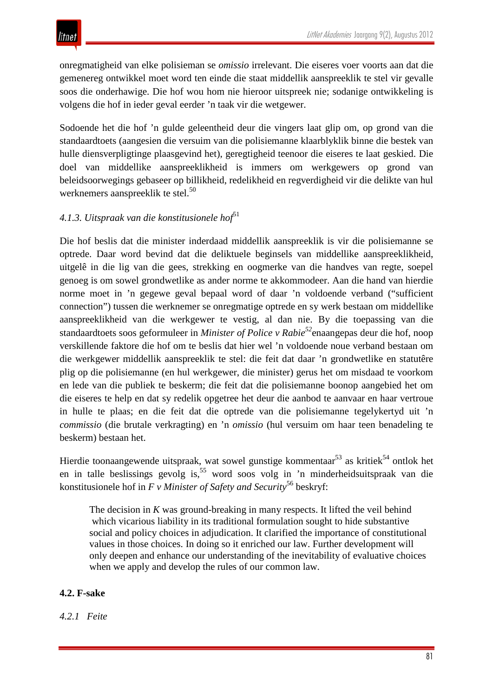onregmatigheid van elke polisieman se *omissio* irrelevant. Die eiseres voer voorts aan dat die gemenereg ontwikkel moet word ten einde die staat middellik aanspreeklik te stel vir gevalle soos die onderhawige. Die hof wou hom nie hieroor uitspreek nie; sodanige ontwikkeling is volgens die hof in ieder geval eerder 'n taak vir die wetgewer.

Sodoende het die hof 'n gulde geleentheid deur die vingers laat glip om, op grond van die standaardtoets (aangesien die versuim van die polisiemanne klaarblyklik binne die bestek van hulle diensverpligtinge plaasgevind het), geregtigheid teenoor die eiseres te laat geskied. Die doel van middellike aanspreeklikheid is immers om werkgewers op grond van beleidsoorwegings gebaseer op billikheid, redelikheid en regverdigheid vir die delikte van hul werknemers aanspreeklik te stel.<sup>50</sup>

#### 4.1.3. Uitspraak van die konstitusionele hof<sup>51</sup>

Die hof beslis dat die minister inderdaad middellik aanspreeklik is vir die polisiemanne se optrede. Daar word bevind dat die deliktuele beginsels van middellike aanspreeklikheid, uitgelê in die lig van die gees, strekking en oogmerke van die handves van regte, soepel genoeg is om sowel grondwetlike as ander norme te akkommodeer. Aan die hand van hierdie norme moet in 'n gegewe geval bepaal word of daar 'n voldoende verband ("sufficient connection") tussen die werknemer se onregmatige optrede en sy werk bestaan om middellike aanspreeklikheid van die werkgewer te vestig, al dan nie. By die toepassing van die standaardtoets soos geformuleer in *Minister of Police v Rabie52*enaangepas deur die hof, noop verskillende faktore die hof om te beslis dat hier wel 'n voldoende noue verband bestaan om die werkgewer middellik aanspreeklik te stel: die feit dat daar 'n grondwetlike en statutêre plig op die polisiemanne (en hul werkgewer, die minister) gerus het om misdaad te voorkom en lede van die publiek te beskerm; die feit dat die polisiemanne boonop aangebied het om die eiseres te help en dat sy redelik opgetree het deur die aanbod te aanvaar en haar vertroue in hulle te plaas; en die feit dat die optrede van die polisiemanne tegelykertyd uit 'n *commissio* (die brutale verkragting) en 'n *omissio* (hul versuim om haar teen benadeling te beskerm) bestaan het.

Hierdie toonaangewende uitspraak, wat sowel gunstige kommentaar<sup>53</sup> as kritiek<sup>54</sup> ontlok het en in talle beslissings gevolg is,<sup>55</sup> word soos volg in 'n minderheidsuitspraak van die konstitusionele hof in *F v Minister of Safety and Security*<sup>56</sup> beskryf:

The decision in *K* was ground-breaking in many respects. It lifted the veil behind which vicarious liability in its traditional formulation sought to hide substantive social and policy choices in adjudication. It clarified the importance of constitutional values in those choices. In doing so it enriched our law. Further development will only deepen and enhance our understanding of the inevitability of evaluative choices when we apply and develop the rules of our common law.

#### **4.2. F-sake**

*4.2.1 Feite*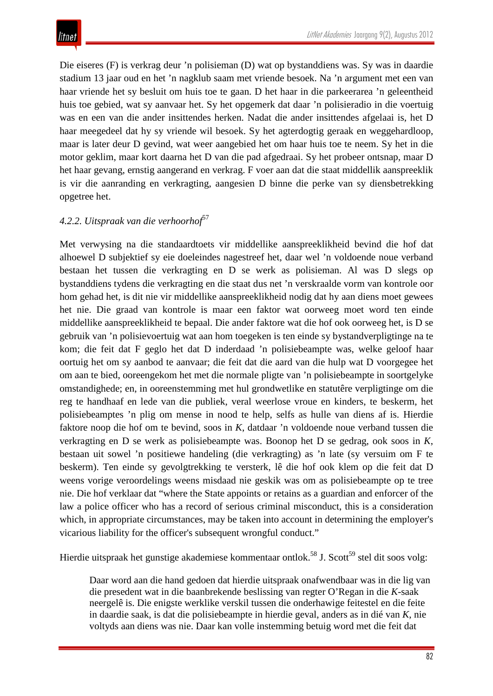Die eiseres (F) is verkrag deur 'n polisieman (D) wat op bystanddiens was. Sy was in daardie stadium 13 jaar oud en het 'n nagklub saam met vriende besoek. Na 'n argument met een van haar vriende het sy besluit om huis toe te gaan. D het haar in die parkeerarea 'n geleentheid huis toe gebied, wat sy aanvaar het. Sy het opgemerk dat daar 'n polisieradio in die voertuig was en een van die ander insittendes herken. Nadat die ander insittendes afgelaai is, het D haar meegedeel dat hy sy vriende wil besoek. Sy het agterdogtig geraak en weggehardloop, maar is later deur D gevind, wat weer aangebied het om haar huis toe te neem. Sy het in die motor geklim, maar kort daarna het D van die pad afgedraai. Sy het probeer ontsnap, maar D het haar gevang, ernstig aangerand en verkrag. F voer aan dat die staat middellik aanspreeklik is vir die aanranding en verkragting, aangesien D binne die perke van sy diensbetrekking opgetree het.

#### *4.2.2. Uitspraak van die verhoorhof*<sup>57</sup>

Met verwysing na die standaardtoets vir middellike aanspreeklikheid bevind die hof dat alhoewel D subjektief sy eie doeleindes nagestreef het, daar wel 'n voldoende noue verband bestaan het tussen die verkragting en D se werk as polisieman. Al was D slegs op bystanddiens tydens die verkragting en die staat dus net 'n verskraalde vorm van kontrole oor hom gehad het, is dit nie vir middellike aanspreeklikheid nodig dat hy aan diens moet gewees het nie. Die graad van kontrole is maar een faktor wat oorweeg moet word ten einde middellike aanspreeklikheid te bepaal. Die ander faktore wat die hof ook oorweeg het, is D se gebruik van 'n polisievoertuig wat aan hom toegeken is ten einde sy bystandverpligtinge na te kom; die feit dat F geglo het dat D inderdaad 'n polisiebeampte was, welke geloof haar oortuig het om sy aanbod te aanvaar; die feit dat die aard van die hulp wat D voorgegee het om aan te bied, ooreengekom het met die normale pligte van 'n polisiebeampte in soortgelyke omstandighede; en, in ooreenstemming met hul grondwetlike en statutêre verpligtinge om die reg te handhaaf en lede van die publiek, veral weerlose vroue en kinders, te beskerm, het polisiebeamptes 'n plig om mense in nood te help, selfs as hulle van diens af is. Hierdie faktore noop die hof om te bevind, soos in *K*, datdaar 'n voldoende noue verband tussen die verkragting en D se werk as polisiebeampte was. Boonop het D se gedrag, ook soos in *K*, bestaan uit sowel 'n positiewe handeling (die verkragting) as 'n late (sy versuim om F te beskerm). Ten einde sy gevolgtrekking te versterk, lê die hof ook klem op die feit dat D weens vorige veroordelings weens misdaad nie geskik was om as polisiebeampte op te tree nie. Die hof verklaar dat "where the State appoints or retains as a guardian and enforcer of the law a police officer who has a record of serious criminal misconduct, this is a consideration which, in appropriate circumstances, may be taken into account in determining the employer's vicarious liability for the officer's subsequent wrongful conduct."

Hierdie uitspraak het gunstige akademiese kommentaar ontlok.<sup>58</sup> J. Scott<sup>59</sup> stel dit soos volg:

Daar word aan die hand gedoen dat hierdie uitspraak onafwendbaar was in die lig van die presedent wat in die baanbrekende beslissing van regter O'Regan in die *K*-saak neergelê is. Die enigste werklike verskil tussen die onderhawige feitestel en die feite in daardie saak, is dat die polisiebeampte in hierdie geval, anders as in dié van *K*, nie voltyds aan diens was nie. Daar kan volle instemming betuig word met die feit dat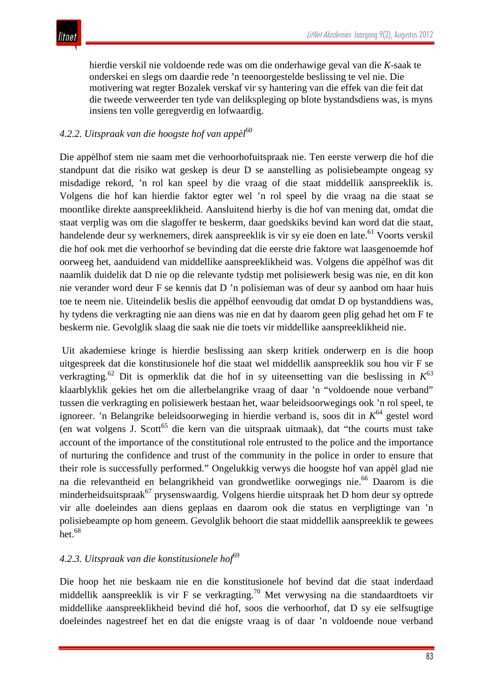hierdie verskil nie voldoende rede was om die onderhawige geval van die *K*-saak te onderskei en slegs om daardie rede 'n teenoorgestelde beslissing te vel nie. Die motivering wat regter Bozalek verskaf vir sy hantering van die effek van die feit dat die tweede verweerder ten tyde van delikspleging op blote bystandsdiens was, is myns insiens ten volle geregverdig en lofwaardig.

#### 4.2.2. Uitspraak van die hoogste hof van appèl<sup>60</sup>

Die appèlhof stem nie saam met die verhoorhofuitspraak nie. Ten eerste verwerp die hof die standpunt dat die risiko wat geskep is deur D se aanstelling as polisiebeampte ongeag sy misdadige rekord, 'n rol kan speel by die vraag of die staat middellik aanspreeklik is. Volgens die hof kan hierdie faktor egter wel 'n rol speel by die vraag na die staat se moontlike direkte aanspreeklikheid. Aansluitend hierby is die hof van mening dat, omdat die staat verplig was om die slagoffer te beskerm, daar goedskiks bevind kan word dat die staat, handelende deur sy werknemers, direk aanspreeklik is vir sy eie doen en late.<sup>61</sup> Voorts verskil die hof ook met die verhoorhof se bevinding dat die eerste drie faktore wat laasgenoemde hof oorweeg het, aanduidend van middellike aanspreeklikheid was. Volgens die appèlhof was dit naamlik duidelik dat D nie op die relevante tydstip met polisiewerk besig was nie, en dit kon nie verander word deur F se kennis dat D 'n polisieman was of deur sy aanbod om haar huis toe te neem nie. Uiteindelik beslis die appèlhof eenvoudig dat omdat D op bystanddiens was, hy tydens die verkragting nie aan diens was nie en dat hy daarom geen plig gehad het om F te beskerm nie. Gevolglik slaag die saak nie die toets vir middellike aanspreeklikheid nie.

Uit akademiese kringe is hierdie beslissing aan skerp kritiek onderwerp en is die hoop uitgespreek dat die konstitusionele hof die staat wel middellik aanspreeklik sou hou vir F se verkragting.62 Dit is opmerklik dat die hof in sy uiteensetting van die beslissing in *K*<sup>63</sup> klaarblyklik gekies het om die allerbelangrike vraag of daar 'n "voldoende noue verband" tussen die verkragting en polisiewerk bestaan het, waar beleidsoorwegings ook 'n rol speel, te ignoreer. 'n Belangrike beleidsoorweging in hierdie verband is, soos dit in *K*<sup>64</sup> gestel word (en wat volgens J. Scott<sup>65</sup> die kern van die uitspraak uitmaak), dat "the courts must take account of the importance of the constitutional role entrusted to the police and the importance of nurturing the confidence and trust of the community in the police in order to ensure that their role is successfully performed." Ongelukkig verwys die hoogste hof van appèl glad nie na die relevantheid en belangrikheid van grondwetlike oorwegings nie.<sup>66</sup> Daarom is die minderheidsuitspraak<sup>67</sup> prysenswaardig. Volgens hierdie uitspraak het D hom deur sy optrede vir alle doeleindes aan diens geplaas en daarom ook die status en verpligtinge van 'n polisiebeampte op hom geneem. Gevolglik behoort die staat middellik aanspreeklik te gewees het. $68$ 

#### 4.2.3. Uitspraak van die konstitusionele hof<sup>69</sup>

Die hoop het nie beskaam nie en die konstitusionele hof bevind dat die staat inderdaad middellik aanspreeklik is vir F se verkragting.<sup>70</sup> Met verwysing na die standaardtoets vir middellike aanspreeklikheid bevind dié hof, soos die verhoorhof, dat D sy eie selfsugtige doeleindes nagestreef het en dat die enigste vraag is of daar 'n voldoende noue verband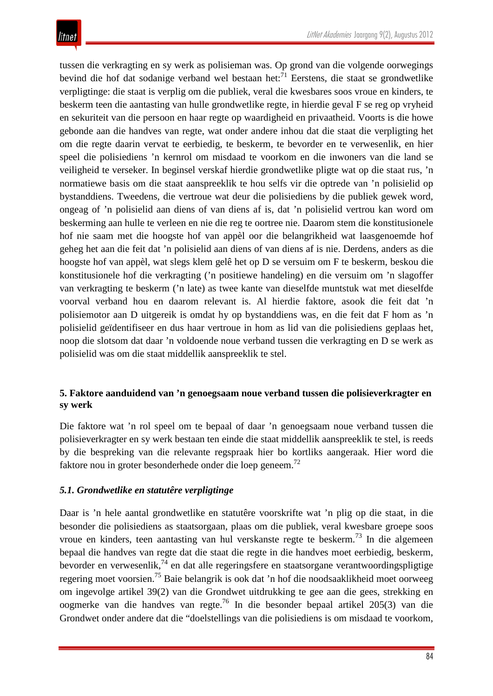tussen die verkragting en sy werk as polisieman was. Op grond van die volgende oorwegings bevind die hof dat sodanige verband wel bestaan het:<sup>71</sup> Eerstens, die staat se grondwetlike verpligtinge: die staat is verplig om die publiek, veral die kwesbares soos vroue en kinders, te beskerm teen die aantasting van hulle grondwetlike regte, in hierdie geval F se reg op vryheid en sekuriteit van die persoon en haar regte op waardigheid en privaatheid. Voorts is die howe gebonde aan die handves van regte, wat onder andere inhou dat die staat die verpligting het om die regte daarin vervat te eerbiedig, te beskerm, te bevorder en te verwesenlik, en hier speel die polisiediens 'n kernrol om misdaad te voorkom en die inwoners van die land se veiligheid te verseker. In beginsel verskaf hierdie grondwetlike pligte wat op die staat rus, 'n normatiewe basis om die staat aanspreeklik te hou selfs vir die optrede van 'n polisielid op bystanddiens. Tweedens, die vertroue wat deur die polisiediens by die publiek gewek word, ongeag of 'n polisielid aan diens of van diens af is, dat 'n polisielid vertrou kan word om beskerming aan hulle te verleen en nie die reg te oortree nie. Daarom stem die konstitusionele hof nie saam met die hoogste hof van appèl oor die belangrikheid wat laasgenoemde hof geheg het aan die feit dat 'n polisielid aan diens of van diens af is nie. Derdens, anders as die hoogste hof van appèl, wat slegs klem gelê het op D se versuim om F te beskerm, beskou die konstitusionele hof die verkragting ('n positiewe handeling) en die versuim om 'n slagoffer van verkragting te beskerm ('n late) as twee kante van dieselfde muntstuk wat met dieselfde voorval verband hou en daarom relevant is. Al hierdie faktore, asook die feit dat 'n polisiemotor aan D uitgereik is omdat hy op bystanddiens was, en die feit dat F hom as 'n polisielid geïdentifiseer en dus haar vertroue in hom as lid van die polisiediens geplaas het, noop die slotsom dat daar 'n voldoende noue verband tussen die verkragting en D se werk as polisielid was om die staat middellik aanspreeklik te stel.

#### **5. Faktore aanduidend van 'n genoegsaam noue verband tussen die polisieverkragter en sy werk**

Die faktore wat 'n rol speel om te bepaal of daar 'n genoegsaam noue verband tussen die polisieverkragter en sy werk bestaan ten einde die staat middellik aanspreeklik te stel, is reeds by die bespreking van die relevante regspraak hier bo kortliks aangeraak. Hier word die faktore nou in groter besonderhede onder die loep geneem.<sup>72</sup>

#### *5.1. Grondwetlike en statutêre verpligtinge*

Daar is 'n hele aantal grondwetlike en statutêre voorskrifte wat 'n plig op die staat, in die besonder die polisiediens as staatsorgaan, plaas om die publiek, veral kwesbare groepe soos vroue en kinders, teen aantasting van hul verskanste regte te beskerm.<sup>73</sup> In die algemeen bepaal die handves van regte dat die staat die regte in die handves moet eerbiedig, beskerm, bevorder en verwesenlik,<sup>74</sup> en dat alle regeringsfere en staatsorgane verantwoordingspligtige regering moet voorsien.75 Baie belangrik is ook dat 'n hof die noodsaaklikheid moet oorweeg om ingevolge artikel 39(2) van die Grondwet uitdrukking te gee aan die gees, strekking en oogmerke van die handves van regte.76 In die besonder bepaal artikel 205(3) van die Grondwet onder andere dat die "doelstellings van die polisiediens is om misdaad te voorkom,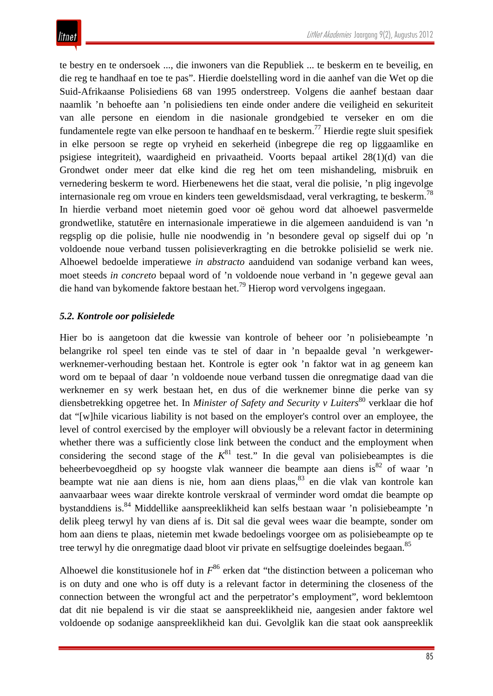te bestry en te ondersoek ..., die inwoners van die Republiek ... te beskerm en te beveilig, en die reg te handhaaf en toe te pas". Hierdie doelstelling word in die aanhef van die Wet op die Suid-Afrikaanse Polisiediens 68 van 1995 onderstreep. Volgens die aanhef bestaan daar naamlik 'n behoefte aan 'n polisiediens ten einde onder andere die veiligheid en sekuriteit van alle persone en eiendom in die nasionale grondgebied te verseker en om die fundamentele regte van elke persoon te handhaaf en te beskerm.<sup>77</sup> Hierdie regte sluit spesifiek in elke persoon se regte op vryheid en sekerheid (inbegrepe die reg op liggaamlike en psigiese integriteit), waardigheid en privaatheid. Voorts bepaal artikel 28(1)(d) van die Grondwet onder meer dat elke kind die reg het om teen mishandeling, misbruik en vernedering beskerm te word. Hierbenewens het die staat, veral die polisie, 'n plig ingevolge internasionale reg om vroue en kinders teen geweldsmisdaad, veral verkragting, te beskerm.<sup>78</sup> In hierdie verband moet nietemin goed voor oë gehou word dat alhoewel pasvermelde grondwetlike, statutêre en internasionale imperatiewe in die algemeen aanduidend is van 'n regsplig op die polisie, hulle nie noodwendig in 'n besondere geval op sigself dui op 'n voldoende noue verband tussen polisieverkragting en die betrokke polisielid se werk nie. Alhoewel bedoelde imperatiewe *in abstracto* aanduidend van sodanige verband kan wees, moet steeds *in concreto* bepaal word of 'n voldoende noue verband in 'n gegewe geval aan die hand van bykomende faktore bestaan het.79 Hierop word vervolgens ingegaan.

#### *5.2. Kontrole oor polisielede*

Hier bo is aangetoon dat die kwessie van kontrole of beheer oor 'n polisiebeampte 'n belangrike rol speel ten einde vas te stel of daar in 'n bepaalde geval 'n werkgewerwerknemer-verhouding bestaan het. Kontrole is egter ook 'n faktor wat in ag geneem kan word om te bepaal of daar 'n voldoende noue verband tussen die onregmatige daad van die werknemer en sy werk bestaan het, en dus of die werknemer binne die perke van sy diensbetrekking opgetree het. In *Minister of Safety and Security v Luiters*<sup>80</sup> verklaar die hof dat "[w]hile vicarious liability is not based on the employer's control over an employee, the level of control exercised by the employer will obviously be a relevant factor in determining whether there was a sufficiently close link between the conduct and the employment when considering the second stage of the  $K^{81}$  test." In die geval van polisiebeamptes is die beheerbevoegdheid op sy hoogste vlak wanneer die beampte aan diens is<sup>82</sup> of waar 'n beampte wat nie aan diens is nie, hom aan diens plaas, <sup>83</sup> en die vlak van kontrole kan aanvaarbaar wees waar direkte kontrole verskraal of verminder word omdat die beampte op bystanddiens is.84 Middellike aanspreeklikheid kan selfs bestaan waar 'n polisiebeampte 'n delik pleeg terwyl hy van diens af is. Dit sal die geval wees waar die beampte, sonder om hom aan diens te plaas, nietemin met kwade bedoelings voorgee om as polisiebeampte op te tree terwyl hy die onregmatige daad bloot vir private en selfsugtige doeleindes begaan.<sup>85</sup>

Alhoewel die konstitusionele hof in  $F^{86}$  erken dat "the distinction between a policeman who is on duty and one who is off duty is a relevant factor in determining the closeness of the connection between the wrongful act and the perpetrator's employment", word beklemtoon dat dit nie bepalend is vir die staat se aanspreeklikheid nie, aangesien ander faktore wel voldoende op sodanige aanspreeklikheid kan dui. Gevolglik kan die staat ook aanspreeklik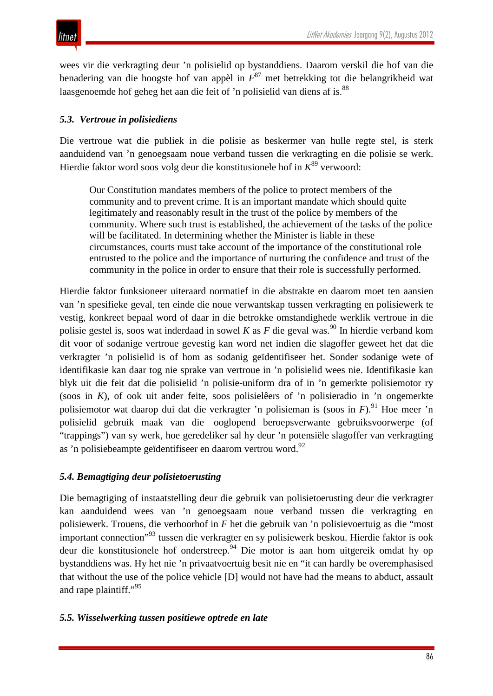wees vir die verkragting deur 'n polisielid op bystanddiens. Daarom verskil die hof van die benadering van die hoogste hof van appèl in *F*<sup>87</sup> met betrekking tot die belangrikheid wat laasgenoemde hof geheg het aan die feit of 'n polisielid van diens af is.<sup>88</sup>

#### *5.3. Vertroue in polisiediens*

Die vertroue wat die publiek in die polisie as beskermer van hulle regte stel, is sterk aanduidend van 'n genoegsaam noue verband tussen die verkragting en die polisie se werk. Hierdie faktor word soos volg deur die konstitusionele hof in  $K^{89}$  verwoord:

Our Constitution mandates members of the police to protect members of the community and to prevent crime. It is an important mandate which should quite legitimately and reasonably result in the trust of the police by members of the community. Where such trust is established, the achievement of the tasks of the police will be facilitated. In determining whether the Minister is liable in these circumstances, courts must take account of the importance of the constitutional role entrusted to the police and the importance of nurturing the confidence and trust of the community in the police in order to ensure that their role is successfully performed.

Hierdie faktor funksioneer uiteraard normatief in die abstrakte en daarom moet ten aansien van 'n spesifieke geval, ten einde die noue verwantskap tussen verkragting en polisiewerk te vestig, konkreet bepaal word of daar in die betrokke omstandighede werklik vertroue in die polisie gestel is, soos wat inderdaad in sowel *K* as *F* die geval was.<sup>90</sup> In hierdie verband kom dit voor of sodanige vertroue gevestig kan word net indien die slagoffer geweet het dat die verkragter 'n polisielid is of hom as sodanig geïdentifiseer het. Sonder sodanige wete of identifikasie kan daar tog nie sprake van vertroue in 'n polisielid wees nie. Identifikasie kan blyk uit die feit dat die polisielid 'n polisie-uniform dra of in 'n gemerkte polisiemotor ry (soos in *K*), of ook uit ander feite, soos polisielêers of 'n polisieradio in 'n ongemerkte polisiemotor wat daarop dui dat die verkragter 'n polisieman is (soos in *F*).<sup>91</sup> Hoe meer 'n polisielid gebruik maak van die ooglopend beroepsverwante gebruiksvoorwerpe (of "trappings") van sy werk, hoe geredeliker sal hy deur 'n potensiële slagoffer van verkragting as 'n polisiebeampte geïdentifiseer en daarom vertrou word.<sup>92</sup>

### *5.4. Bemagtiging deur polisietoerusting*

Die bemagtiging of instaatstelling deur die gebruik van polisietoerusting deur die verkragter kan aanduidend wees van 'n genoegsaam noue verband tussen die verkragting en polisiewerk. Trouens, die verhoorhof in *F* het die gebruik van 'n polisievoertuig as die "most important connection"93 tussen die verkragter en sy polisiewerk beskou. Hierdie faktor is ook deur die konstitusionele hof onderstreep.<sup>94</sup> Die motor is aan hom uitgereik omdat hy op bystanddiens was. Hy het nie 'n privaatvoertuig besit nie en "it can hardly be overemphasised that without the use of the police vehicle [D] would not have had the means to abduct, assault and rape plaintiff."<sup>95</sup>

#### *5.5. Wisselwerking tussen positiewe optrede en late*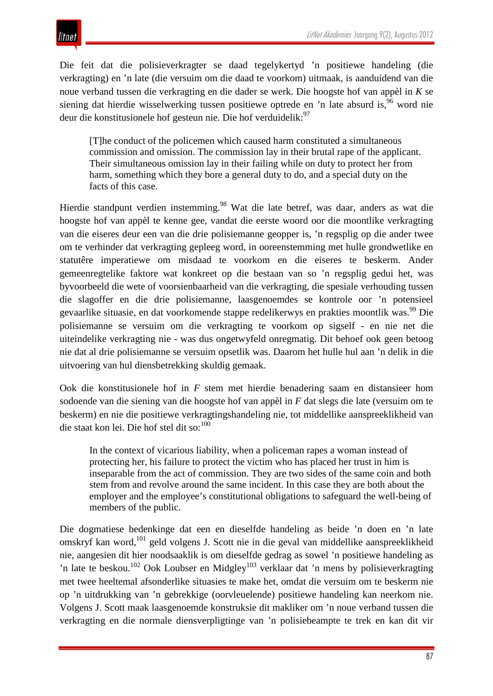Die feit dat die polisieverkragter se daad tegelykertyd 'n positiewe handeling (die verkragting) en 'n late (die versuim om die daad te voorkom) uitmaak, is aanduidend van die noue verband tussen die verkragting en die dader se werk. Die hoogste hof van appèl in *K* se siening dat hierdie wisselwerking tussen positiewe optrede en 'n late absurd is,<sup>96</sup> word nie deur die konstitusionele hof gesteun nie. Die hof verduidelik:<sup>97</sup>

[T]he conduct of the policemen which caused harm constituted a simultaneous commission and omission. The commission lay in their brutal rape of the applicant. Their simultaneous omission lay in their failing while on duty to protect her from harm, something which they bore a general duty to do, and a special duty on the facts of this case.

Hierdie standpunt verdien instemming.<sup>98</sup> Wat die late betref, was daar, anders as wat die hoogste hof van appèl te kenne gee, vandat die eerste woord oor die moontlike verkragting van die eiseres deur een van die drie polisiemanne geopper is, 'n regsplig op die ander twee om te verhinder dat verkragting gepleeg word, in ooreenstemming met hulle grondwetlike en statutêre imperatiewe om misdaad te voorkom en die eiseres te beskerm. Ander gemeenregtelike faktore wat konkreet op die bestaan van so 'n regsplig gedui het, was byvoorbeeld die wete of voorsienbaarheid van die verkragting, die spesiale verhouding tussen die slagoffer en die drie polisiemanne, laasgenoemdes se kontrole oor 'n potensieel gevaarlike situasie, en dat voorkomende stappe redelikerwys en prakties moontlik was.<sup>99</sup> Die polisiemanne se versuim om die verkragting te voorkom op sigself - en nie net die uiteindelike verkragting nie - was dus ongetwyfeld onregmatig. Dit behoef ook geen betoog nie dat al drie polisiemanne se versuim opsetlik was. Daarom het hulle hul aan 'n delik in die uitvoering van hul diensbetrekking skuldig gemaak.

Ook die konstitusionele hof in *F* stem met hierdie benadering saam en distansieer hom sodoende van die siening van die hoogste hof van appèl in *F* dat slegs die late (versuim om te beskerm) en nie die positiewe verkragtingshandeling nie, tot middellike aanspreeklikheid van die staat kon lei. Die hof stel dit so:<sup>100</sup>

In the context of vicarious liability, when a policeman rapes a woman instead of protecting her, his failure to protect the victim who has placed her trust in him is inseparable from the act of commission. They are two sides of the same coin and both stem from and revolve around the same incident. In this case they are both about the employer and the employee's constitutional obligations to safeguard the well-being of members of the public.

Die dogmatiese bedenkinge dat een en dieselfde handeling as beide 'n doen en 'n late omskryf kan word,<sup>101</sup> geld volgens J. Scott nie in die geval van middellike aanspreeklikheid nie, aangesien dit hier noodsaaklik is om dieselfde gedrag as sowel 'n positiewe handeling as 'n late te beskou.<sup>102</sup> Ook Loubser en Midgley<sup>103</sup> verklaar dat 'n mens by polisieverkragting met twee heeltemal afsonderlike situasies te make het, omdat die versuim om te beskerm nie op 'n uitdrukking van 'n gebrekkige (oorvleuelende) positiewe handeling kan neerkom nie. Volgens J. Scott maak laasgenoemde konstruksie dit makliker om 'n noue verband tussen die verkragting en die normale diensverpligtinge van 'n polisiebeampte te trek en kan dit vir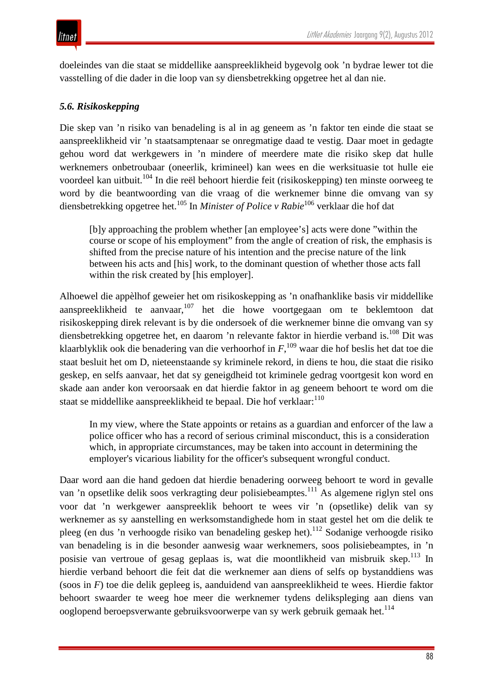doeleindes van die staat se middellike aanspreeklikheid bygevolg ook 'n bydrae lewer tot die vasstelling of die dader in die loop van sy diensbetrekking opgetree het al dan nie.

#### *5.6. Risikoskepping*

Die skep van 'n risiko van benadeling is al in ag geneem as 'n faktor ten einde die staat se aanspreeklikheid vir 'n staatsamptenaar se onregmatige daad te vestig. Daar moet in gedagte gehou word dat werkgewers in 'n mindere of meerdere mate die risiko skep dat hulle werknemers onbetroubaar (oneerlik, krimineel) kan wees en die werksituasie tot hulle eie voordeel kan uitbuit.<sup>104</sup> In die reël behoort hierdie feit (risikoskepping) ten minste oorweeg te word by die beantwoording van die vraag of die werknemer binne die omvang van sy diensbetrekking opgetree het.105 In *Minister of Police v Rabie*<sup>106</sup> verklaar die hof dat

[b]y approaching the problem whether [an employee's] acts were done "within the course or scope of his employment" from the angle of creation of risk, the emphasis is shifted from the precise nature of his intention and the precise nature of the link between his acts and [his] work, to the dominant question of whether those acts fall within the risk created by [his employer].

Alhoewel die appèlhof geweier het om risikoskepping as 'n onafhanklike basis vir middellike aanspreeklikheid te aanvaar,<sup>107</sup> het die howe voortgegaan om te beklemtoon dat risikoskepping direk relevant is by die ondersoek of die werknemer binne die omvang van sy diensbetrekking opgetree het, en daarom 'n relevante faktor in hierdie verband is.108 Dit was klaarblyklik ook die benadering van die verhoorhof in *F*, <sup>109</sup> waar die hof beslis het dat toe die staat besluit het om D, nieteenstaande sy kriminele rekord, in diens te hou, die staat die risiko geskep, en selfs aanvaar, het dat sy geneigdheid tot kriminele gedrag voortgesit kon word en skade aan ander kon veroorsaak en dat hierdie faktor in ag geneem behoort te word om die staat se middellike aanspreeklikheid te bepaal. Die hof verklaar:<sup>110</sup>

In my view, where the State appoints or retains as a guardian and enforcer of the law a police officer who has a record of serious criminal misconduct, this is a consideration which, in appropriate circumstances, may be taken into account in determining the employer's vicarious liability for the officer's subsequent wrongful conduct.

Daar word aan die hand gedoen dat hierdie benadering oorweeg behoort te word in gevalle van 'n opsetlike delik soos verkragting deur polisiebeamptes.<sup>111</sup> As algemene riglyn stel ons voor dat 'n werkgewer aanspreeklik behoort te wees vir 'n (opsetlike) delik van sy werknemer as sy aanstelling en werksomstandighede hom in staat gestel het om die delik te pleeg (en dus 'n verhoogde risiko van benadeling geskep het).<sup>112</sup> Sodanige verhoogde risiko van benadeling is in die besonder aanwesig waar werknemers, soos polisiebeamptes, in 'n posisie van vertroue of gesag geplaas is, wat die moontlikheid van misbruik skep.<sup>113</sup> In hierdie verband behoort die feit dat die werknemer aan diens of selfs op bystanddiens was (soos in *F*) toe die delik gepleeg is, aanduidend van aanspreeklikheid te wees. Hierdie faktor behoort swaarder te weeg hoe meer die werknemer tydens delikspleging aan diens van ooglopend beroepsverwante gebruiksvoorwerpe van sy werk gebruik gemaak het.<sup>114</sup>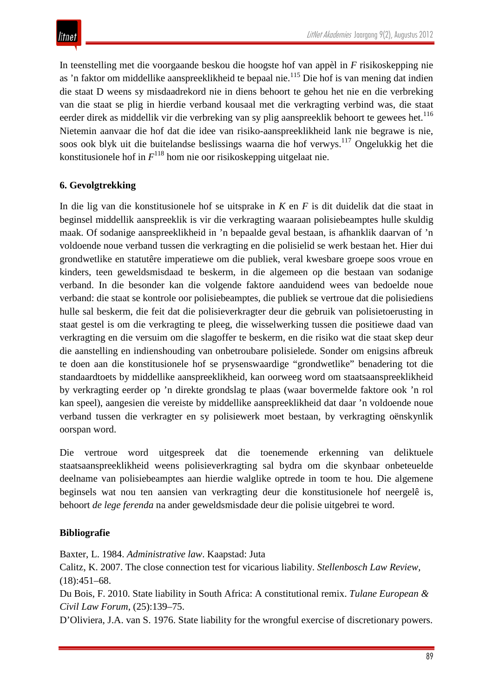In teenstelling met die voorgaande beskou die hoogste hof van appèl in *F* risikoskepping nie as 'n faktor om middellike aanspreeklikheid te bepaal nie.<sup>115</sup> Die hof is van mening dat indien die staat D weens sy misdaadrekord nie in diens behoort te gehou het nie en die verbreking van die staat se plig in hierdie verband kousaal met die verkragting verbind was, die staat eerder direk as middellik vir die verbreking van sy plig aanspreeklik behoort te gewees het.<sup>116</sup> Nietemin aanvaar die hof dat die idee van risiko-aanspreeklikheid lank nie begrawe is nie, soos ook blyk uit die buitelandse beslissings waarna die hof verwys.117 Ongelukkig het die konstitusionele hof in  $F^{118}$  hom nie oor risikoskepping uitgelaat nie.

#### **6. Gevolgtrekking**

In die lig van die konstitusionele hof se uitsprake in *K* en *F* is dit duidelik dat die staat in beginsel middellik aanspreeklik is vir die verkragting waaraan polisiebeamptes hulle skuldig maak. Of sodanige aanspreeklikheid in 'n bepaalde geval bestaan, is afhanklik daarvan of 'n voldoende noue verband tussen die verkragting en die polisielid se werk bestaan het. Hier dui grondwetlike en statutêre imperatiewe om die publiek, veral kwesbare groepe soos vroue en kinders, teen geweldsmisdaad te beskerm, in die algemeen op die bestaan van sodanige verband. In die besonder kan die volgende faktore aanduidend wees van bedoelde noue verband: die staat se kontrole oor polisiebeamptes, die publiek se vertroue dat die polisiediens hulle sal beskerm, die feit dat die polisieverkragter deur die gebruik van polisietoerusting in staat gestel is om die verkragting te pleeg, die wisselwerking tussen die positiewe daad van verkragting en die versuim om die slagoffer te beskerm, en die risiko wat die staat skep deur die aanstelling en indienshouding van onbetroubare polisielede. Sonder om enigsins afbreuk te doen aan die konstitusionele hof se prysenswaardige "grondwetlike" benadering tot die standaardtoets by middellike aanspreeklikheid, kan oorweeg word om staatsaanspreeklikheid by verkragting eerder op 'n direkte grondslag te plaas (waar bovermelde faktore ook 'n rol kan speel), aangesien die vereiste by middellike aanspreeklikheid dat daar 'n voldoende noue verband tussen die verkragter en sy polisiewerk moet bestaan, by verkragting oënskynlik oorspan word.

Die vertroue word uitgespreek dat die toenemende erkenning van deliktuele staatsaanspreeklikheid weens polisieverkragting sal bydra om die skynbaar onbeteuelde deelname van polisiebeamptes aan hierdie walglike optrede in toom te hou. Die algemene beginsels wat nou ten aansien van verkragting deur die konstitusionele hof neergelê is, behoort *de lege ferenda* na ander geweldsmisdade deur die polisie uitgebrei te word.

#### **Bibliografie**

Baxter, L. 1984. *Administrative law*. Kaapstad: Juta

Calitz, K. 2007. The close connection test for vicarious liability. *Stellenbosch Law Review,*   $(18):451-68.$ 

Du Bois, F. 2010. State liability in South Africa: A constitutional remix. *Tulane European & Civil Law Forum*, (25):139–75.

D'Oliviera, J.A. van S. 1976. State liability for the wrongful exercise of discretionary powers.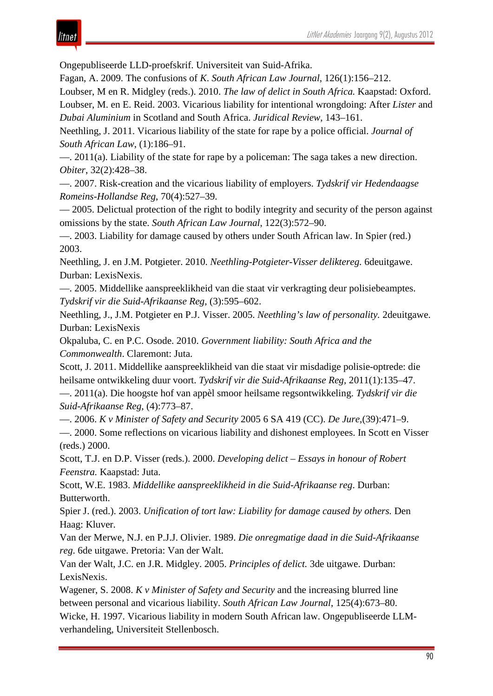## itnet

Ongepubliseerde LLD-proefskrif. Universiteit van Suid-Afrika.

Fagan, A. 2009. The confusions of *K*. *South African Law Journal*, 126(1):156–212.

Loubser, M en R. Midgley (reds.). 2010. *The law of delict in South Africa.* Kaapstad: Oxford. Loubser, M. en E. Reid. 2003. Vicarious liability for intentional wrongdoing: After *Lister* and *Dubai Aluminium* in Scotland and South Africa. *Juridical Review*, 143–161.

Neethling, J. 2011. Vicarious liability of the state for rape by a police official. *Journal of South African Law*, (1):186–91.

—. 2011(a). Liability of the state for rape by a policeman: The saga takes a new direction. *Obiter*, 32(2):428–38.

—. 2007. Risk-creation and the vicarious liability of employers. *Tydskrif vir Hedendaagse Romeins-Hollandse Reg*, 70(4):527–39.

— 2005. Delictual protection of the right to bodily integrity and security of the person against omissions by the state. *South African Law Journal*, 122(3):572–90.

—. 2003. Liability for damage caused by others under South African law. In Spier (red.) 2003.

Neethling, J. en J.M. Potgieter. 2010. *Neethling-Potgieter-Visser deliktereg.* 6deuitgawe. Durban: LexisNexis.

—. 2005. Middellike aanspreeklikheid van die staat vir verkragting deur polisiebeamptes. *Tydskrif vir die Suid-Afrikaanse Reg,* (3):595–602.

Neethling, J., J.M. Potgieter en P.J. Visser. 2005. *Neethling's law of personality.* 2deuitgawe. Durban: LexisNexis

Okpaluba, C. en P.C. Osode. 2010. *Government liability: South Africa and the Commonwealth*. Claremont: Juta.

Scott, J. 2011. Middellike aanspreeklikheid van die staat vir misdadige polisie-optrede: die heilsame ontwikkeling duur voort. *Tydskrif vir die Suid-Afrikaanse Reg,* 2011(1):135–47.

—. 2011(a). Die hoogste hof van appèl smoor heilsame regsontwikkeling. *Tydskrif vir die Suid-Afrikaanse Reg,* (4):773–87.

—. 2006. *K v Minister of Safety and Security* 2005 6 SA 419 (CC). *De Jure*,(39):471–9.

—. 2000. Some reflections on vicarious liability and dishonest employees. In Scott en Visser (reds.) 2000.

Scott, T.J. en D.P. Visser (reds.). 2000. *Developing delict – Essays in honour of Robert Feenstra.* Kaapstad: Juta.

Scott, W.E. 1983. *Middellike aanspreeklikheid in die Suid-Afrikaanse reg*. Durban: Butterworth.

Spier J. (red.). 2003. *Unification of tort law: Liability for damage caused by others.* Den Haag: Kluver.

Van der Merwe, N.J. en P.J.J. Olivier. 1989. *Die onregmatige daad in die Suid-Afrikaanse reg*. 6de uitgawe. Pretoria: Van der Walt.

Van der Walt, J.C. en J.R. Midgley. 2005. *Principles of delict.* 3de uitgawe. Durban: LexisNexis.

Wagener, S. 2008. *K v Minister of Safety and Security* and the increasing blurred line between personal and vicarious liability. *South African Law Journal*, 125(4):673–80.

Wicke, H. 1997. Vicarious liability in modern South African law. Ongepubliseerde LLMverhandeling, Universiteit Stellenbosch.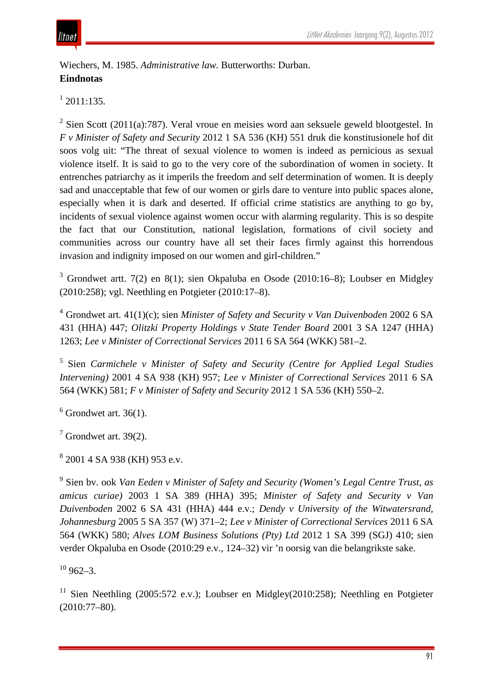

Wiechers, M. 1985. *Administrative law.* Butterworths: Durban. **Eindnotas**

 $1$  2011:135.

 $2$  Sien Scott (2011(a):787). Veral vroue en meisies word aan seksuele geweld blootgestel. In *F v Minister of Safety and Security* 2012 1 SA 536 (KH) 551 druk die konstitusionele hof dit soos volg uit: "The threat of sexual violence to women is indeed as pernicious as sexual violence itself. It is said to go to the very core of the subordination of women in society. It entrenches patriarchy as it imperils the freedom and self determination of women. It is deeply sad and unacceptable that few of our women or girls dare to venture into public spaces alone, especially when it is dark and deserted. If official crime statistics are anything to go by, incidents of sexual violence against women occur with alarming regularity. This is so despite the fact that our Constitution, national legislation, formations of civil society and communities across our country have all set their faces firmly against this horrendous invasion and indignity imposed on our women and girl-children."

<sup>3</sup> Grondwet artt. 7(2) en 8(1); sien Okpaluba en Osode (2010:16–8); Loubser en Midgley (2010:258); vgl. Neethling en Potgieter (2010:17–8).

<sup>4</sup> Grondwet art. 41(1)(c); sien *Minister of Safety and Security v Van Duivenboden* 2002 6 SA 431 (HHA) 447; *Olitzki Property Holdings v State Tender Board* 2001 3 SA 1247 (HHA) 1263; *Lee v Minister of Correctional Services* 2011 6 SA 564 (WKK) 581–2.

<sup>5</sup> Sien *Carmichele v Minister of Safety and Security (Centre for Applied Legal Studies Intervening)* 2001 4 SA 938 (KH) 957; *Lee v Minister of Correctional Services* 2011 6 SA 564 (WKK) 581; *F v Minister of Safety and Security* 2012 1 SA 536 (KH) 550–2.

 $6$  Grondwet art. 36(1).

 $<sup>7</sup>$  Grondwet art. 39(2).</sup>

<sup>8</sup> 2001 4 SA 938 (KH) 953 e.v.

<sup>9</sup> Sien bv. ook *Van Eeden v Minister of Safety and Security (Women's Legal Centre Trust*, *as amicus curiae)* 2003 1 SA 389 (HHA) 395; *Minister of Safety and Security v Van Duivenboden* 2002 6 SA 431 (HHA) 444 e.v.; *Dendy v University of the Witwatersrand, Johannesburg* 2005 5 SA 357 (W) 371–2; *Lee v Minister of Correctional Services* 2011 6 SA 564 (WKK) 580; *Alves LOM Business Solutions (Pty) Ltd* 2012 1 SA 399 (SGJ) 410; sien verder Okpaluba en Osode (2010:29 e.v., 124–32) vir 'n oorsig van die belangrikste sake.

 $10\,962 - 3.$ 

<sup>11</sup> Sien Neethling (2005:572 e.v.); Loubser en Midgley(2010:258); Neethling en Potgieter (2010:77–80).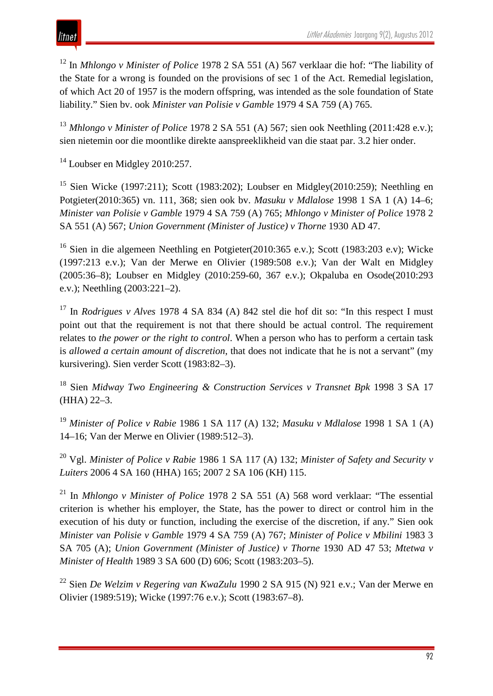

<sup>12</sup> In *Mhlongo v Minister of Police* 1978 2 SA 551 (A) 567 verklaar die hof: "The liability of the State for a wrong is founded on the provisions of sec 1 of the Act. Remedial legislation, of which Act 20 of 1957 is the modern offspring, was intended as the sole foundation of State liability." Sien bv. ook *Minister van Polisie v Gamble* 1979 4 SA 759 (A) 765.

<sup>13</sup> *Mhlongo v Minister of Police* 1978 2 SA 551 (A) 567; sien ook Neethling (2011:428 e.v.); sien nietemin oor die moontlike direkte aanspreeklikheid van die staat par. 3.2 hier onder.

<sup>14</sup> Loubser en Midgley 2010:257.

<sup>15</sup> Sien Wicke (1997:211); Scott (1983:202); Loubser en Midgley(2010:259); Neethling en Potgieter(2010:365) vn. 111, 368; sien ook bv. *Masuku v Mdlalose* 1998 1 SA 1 (A) 14–6; *Minister van Polisie v Gamble* 1979 4 SA 759 (A) 765; *Mhlongo v Minister of Police* 1978 2 SA 551 (A) 567; *Union Government (Minister of Justice) v Thorne* 1930 AD 47.

<sup>16</sup> Sien in die algemeen Neethling en Potgieter(2010:365 e.v.); Scott (1983:203 e.v); Wicke (1997:213 e.v.); Van der Merwe en Olivier (1989:508 e.v.); Van der Walt en Midgley (2005:36–8); Loubser en Midgley (2010:259-60, 367 e.v.); Okpaluba en Osode(2010:293 e.v.); Neethling (2003:221–2).

<sup>17</sup> In *Rodrigues v Alves* 1978 4 SA 834 (A) 842 stel die hof dit so: "In this respect I must point out that the requirement is not that there should be actual control. The requirement relates to *the power or the right to control*. When a person who has to perform a certain task is *allowed a certain amount of discretion*, that does not indicate that he is not a servant" (my kursivering). Sien verder Scott (1983:82–3).

<sup>18</sup> Sien *Midway Two Engineering & Construction Services v Transnet Bpk* 1998 3 SA 17 (HHA) 22–3.

<sup>19</sup> *Minister of Police v Rabie* 1986 1 SA 117 (A) 132; *Masuku v Mdlalose* 1998 1 SA 1 (A) 14–16; Van der Merwe en Olivier (1989:512–3).

<sup>20</sup> Vgl. *Minister of Police v Rabie* 1986 1 SA 117 (A) 132; *Minister of Safety and Security v Luiters* 2006 4 SA 160 (HHA) 165; 2007 2 SA 106 (KH) 115.

<sup>21</sup> In *Mhlongo v Minister of Police* 1978 2 SA 551 (A) 568 word verklaar: "The essential criterion is whether his employer, the State, has the power to direct or control him in the execution of his duty or function, including the exercise of the discretion, if any." Sien ook *Minister van Polisie v Gamble* 1979 4 SA 759 (A) 767; *Minister of Police v Mbilini* 1983 3 SA 705 (A); *Union Government (Minister of Justice) v Thorne* 1930 AD 47 53; *Mtetwa v Minister of Health* 1989 3 SA 600 (D) 606; Scott (1983:203–5).

<sup>22</sup> Sien *De Welzim v Regering van KwaZulu* 1990 2 SA 915 (N) 921 e.v.; Van der Merwe en Olivier (1989:519); Wicke (1997:76 e.v.); Scott (1983:67–8).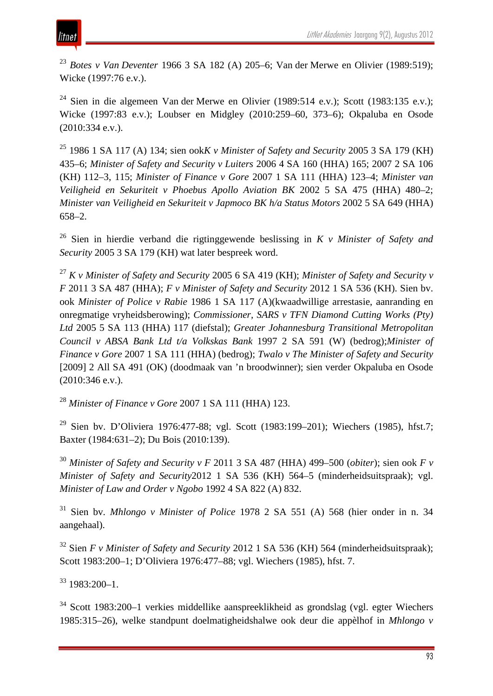<sup>23</sup> *Botes v Van Deventer* 1966 3 SA 182 (A) 205–6; Van der Merwe en Olivier (1989:519); Wicke (1997:76 e.v.).

<sup>24</sup> Sien in die algemeen Van der Merwe en Olivier (1989:514 e.v.); Scott (1983:135 e.v.); Wicke (1997:83 e.v.); Loubser en Midgley (2010:259–60, 373–6); Okpaluba en Osode (2010:334 e.v.).

<sup>25</sup> 1986 1 SA 117 (A) 134; sien ook*K v Minister of Safety and Security* 2005 3 SA 179 (KH) 435–6; *Minister of Safety and Security v Luiters* 2006 4 SA 160 (HHA) 165; 2007 2 SA 106 (KH) 112–3, 115; *Minister of Finance v Gore* 2007 1 SA 111 (HHA) 123–4; *Minister van Veiligheid en Sekuriteit v Phoebus Apollo Aviation BK* 2002 5 SA 475 (HHA) 480–2; *Minister van Veiligheid en Sekuriteit v Japmoco BK h/a Status Motors* 2002 5 SA 649 (HHA) 658–2.

<sup>26</sup> Sien in hierdie verband die rigtinggewende beslissing in *K v Minister of Safety and Security* 2005 3 SA 179 (KH) wat later bespreek word.

<sup>27</sup> *K v Minister of Safety and Security* 2005 6 SA 419 (KH); *Minister of Safety and Security v F* 2011 3 SA 487 (HHA); *F v Minister of Safety and Security* 2012 1 SA 536 (KH). Sien bv. ook *Minister of Police v Rabie* 1986 1 SA 117 (A)(kwaadwillige arrestasie, aanranding en onregmatige vryheidsberowing); *Commissioner, SARS v TFN Diamond Cutting Works (Pty) Ltd* 2005 5 SA 113 (HHA) 117 (diefstal); *Greater Johannesburg Transitional Metropolitan Council v ABSA Bank Ltd t/a Volkskas Bank* 1997 2 SA 591 (W) (bedrog);*Minister of Finance v Gore* 2007 1 SA 111 (HHA) (bedrog); *Twalo v The Minister of Safety and Security* [2009] 2 All SA 491 (OK) (doodmaak van 'n broodwinner); sien verder Okpaluba en Osode (2010:346 e.v.).

<sup>28</sup> *Minister of Finance v Gore* 2007 1 SA 111 (HHA) 123.

<sup>29</sup> Sien by. D'Oliviera 1976:477-88; vgl. Scott (1983:199–201); Wiechers (1985), hfst.7; Baxter (1984:631–2); Du Bois (2010:139).

<sup>30</sup> *Minister of Safety and Security v F* 2011 3 SA 487 (HHA) 499–500 (*obiter*); sien ook *F v Minister of Safety and Security*2012 1 SA 536 (KH) 564–5 (minderheidsuitspraak); vgl. *Minister of Law and Order v Ngobo* 1992 4 SA 822 (A) 832.

<sup>31</sup> Sien bv. *Mhlongo v Minister of Police* 1978 2 SA 551 (A) 568 (hier onder in n. 34 aangehaal).

<sup>32</sup> Sien *F v Minister of Safety and Security* 2012 1 SA 536 (KH) 564 (minderheidsuitspraak); Scott 1983:200–1; D'Oliviera 1976:477–88; vgl. Wiechers (1985), hfst. 7.

 $33$  1983:200-1.

<sup>34</sup> Scott 1983:200–1 verkies middellike aanspreeklikheid as grondslag (vgl. egter Wiechers 1985:315–26), welke standpunt doelmatigheidshalwe ook deur die appèlhof in *Mhlongo v*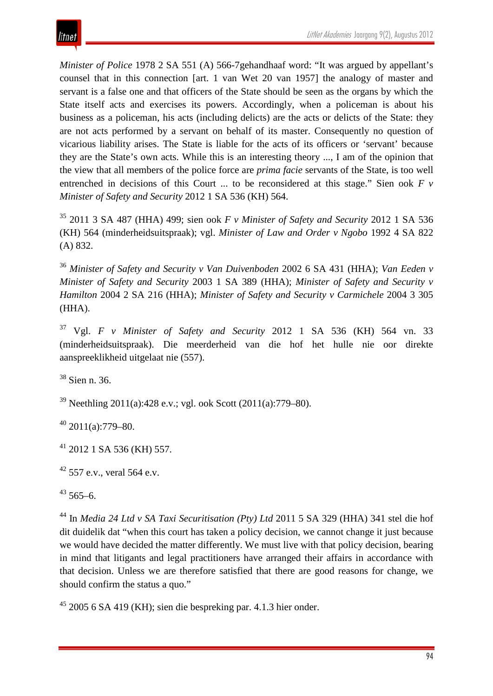*Minister of Police* 1978 2 SA 551 (A) 566-7gehandhaaf word: "It was argued by appellant's counsel that in this connection [art. 1 van Wet 20 van 1957] the analogy of master and servant is a false one and that officers of the State should be seen as the organs by which the State itself acts and exercises its powers. Accordingly, when a policeman is about his business as a policeman, his acts (including delicts) are the acts or delicts of the State: they are not acts performed by a servant on behalf of its master. Consequently no question of vicarious liability arises. The State is liable for the acts of its officers or 'servant' because they are the State's own acts. While this is an interesting theory ..., I am of the opinion that the view that all members of the police force are *prima facie* servants of the State, is too well entrenched in decisions of this Court ... to be reconsidered at this stage." Sien ook *F v Minister of Safety and Security* 2012 1 SA 536 (KH) 564.

<sup>35</sup> 2011 3 SA 487 (HHA) 499; sien ook *F v Minister of Safety and Security* 2012 1 SA 536 (KH) 564 (minderheidsuitspraak); vgl. *Minister of Law and Order v Ngobo* 1992 4 SA 822 (A) 832.

<sup>36</sup> *Minister of Safety and Security v Van Duivenboden* 2002 6 SA 431 (HHA); *Van Eeden v Minister of Safety and Security* 2003 1 SA 389 (HHA); *Minister of Safety and Security v Hamilton* 2004 2 SA 216 (HHA); *Minister of Safety and Security v Carmichele* 2004 3 305 (HHA).

<sup>37</sup> Vgl. *F v Minister of Safety and Security* 2012 1 SA 536 (KH) 564 vn. 33 (minderheidsuitspraak). Die meerderheid van die hof het hulle nie oor direkte aanspreeklikheid uitgelaat nie (557).

<sup>38</sup> Sien n. 36.

<sup>39</sup> Neethling 2011(a):428 e.v.; vgl. ook Scott (2011(a):779–80).

 $40$  2011(a):779-80.

<sup>41</sup> 2012 1 SA 536 (KH) 557.

 $42$  557 e.v., veral 564 e.v.

 $43,565-6.$ 

<sup>44</sup> In *Media 24 Ltd v SA Taxi Securitisation (Pty) Ltd* 2011 5 SA 329 (HHA) 341 stel die hof dit duidelik dat "when this court has taken a policy decision, we cannot change it just because we would have decided the matter differently. We must live with that policy decision, bearing in mind that litigants and legal practitioners have arranged their affairs in accordance with that decision. Unless we are therefore satisfied that there are good reasons for change, we should confirm the status a quo."

 $45$  2005 6 SA 419 (KH); sien die bespreking par. 4.1.3 hier onder.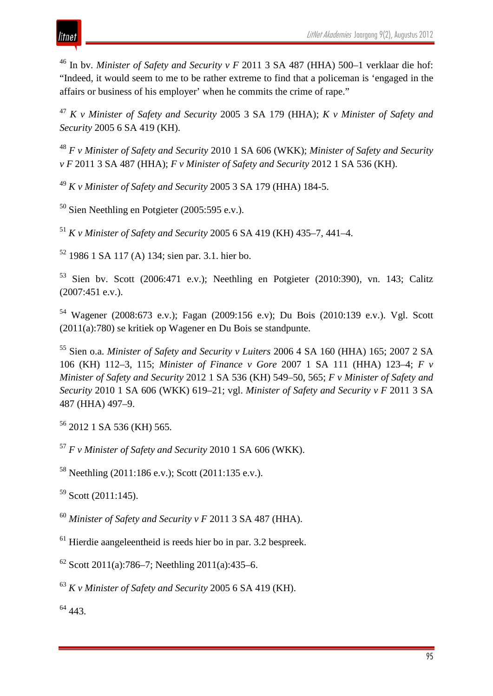<sup>46</sup> In bv. *Minister of Safety and Security v F* 2011 3 SA 487 (HHA) 500–1 verklaar die hof: "Indeed, it would seem to me to be rather extreme to find that a policeman is 'engaged in the affairs or business of his employer' when he commits the crime of rape."

<sup>47</sup> *K v Minister of Safety and Security* 2005 3 SA 179 (HHA); *K v Minister of Safety and Security* 2005 6 SA 419 (KH).

<sup>48</sup> *F v Minister of Safety and Security* 2010 1 SA 606 (WKK); *Minister of Safety and Security v F* 2011 3 SA 487 (HHA); *F v Minister of Safety and Security* 2012 1 SA 536 (KH).

<sup>49</sup> *K v Minister of Safety and Security* 2005 3 SA 179 (HHA) 184-5.

 $50$  Sien Neethling en Potgieter (2005:595 e.v.).

<sup>51</sup> *K v Minister of Safety and Security* 2005 6 SA 419 (KH) 435–7, 441–4.

<sup>52</sup> 1986 1 SA 117 (A) 134; sien par. 3.1. hier bo.

<sup>53</sup> Sien bv. Scott (2006:471 e.v.); Neethling en Potgieter (2010:390), vn. 143; Calitz (2007:451 e.v.).

<sup>54</sup> Wagener (2008:673 e.v.); Fagan (2009:156 e.v); Du Bois (2010:139 e.v.). Vgl. Scott (2011(a):780) se kritiek op Wagener en Du Bois se standpunte.

<sup>55</sup> Sien o.a. *Minister of Safety and Security v Luiters* 2006 4 SA 160 (HHA) 165; 2007 2 SA 106 (KH) 112–3, 115; *Minister of Finance v Gore* 2007 1 SA 111 (HHA) 123–4; *F v Minister of Safety and Security* 2012 1 SA 536 (KH) 549–50, 565; *F v Minister of Safety and Security* 2010 1 SA 606 (WKK) 619–21; vgl. *Minister of Safety and Security v F* 2011 3 SA 487 (HHA) 497–9.

<sup>56</sup> 2012 1 SA 536 (KH) 565.

<sup>57</sup> *F v Minister of Safety and Security* 2010 1 SA 606 (WKK).

<sup>58</sup> Neethling (2011:186 e.v.); Scott (2011:135 e.v.).

 $59$  Scott (2011:145).

<sup>60</sup> *Minister of Safety and Security v F* 2011 3 SA 487 (HHA).

 $<sup>61</sup>$  Hierdie aangeleentheid is reeds hier bo in par. 3.2 bespreek.</sup>

 $62$  Scott 2011(a):786–7; Neethling 2011(a):435–6.

<sup>63</sup> *K v Minister of Safety and Security* 2005 6 SA 419 (KH).

<sup>64</sup> 443.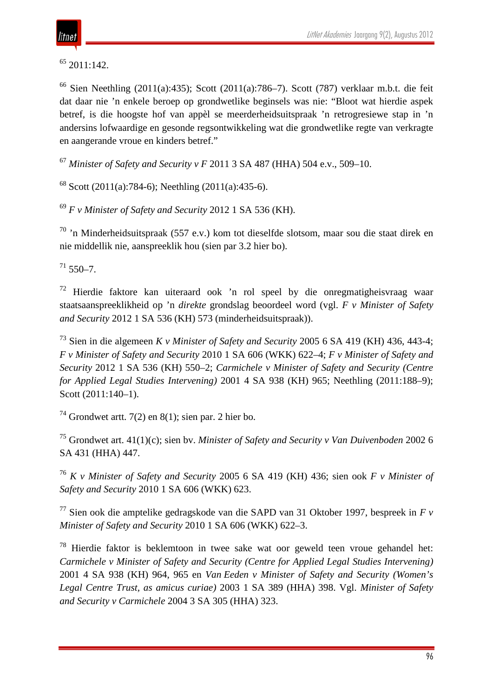<sup>65</sup> 2011:142.

<sup>66</sup> Sien Neethling (2011(a):435); Scott (2011(a):786–7). Scott (787) verklaar m.b.t. die feit dat daar nie 'n enkele beroep op grondwetlike beginsels was nie: "Bloot wat hierdie aspek betref, is die hoogste hof van appèl se meerderheidsuitspraak 'n retrogresiewe stap in 'n andersins lofwaardige en gesonde regsontwikkeling wat die grondwetlike regte van verkragte en aangerande vroue en kinders betref."

<sup>67</sup> *Minister of Safety and Security v F* 2011 3 SA 487 (HHA) 504 e.v., 509–10.

<sup>68</sup> Scott (2011(a):784-6); Neethling (2011(a):435-6).

<sup>69</sup> *F v Minister of Safety and Security* 2012 1 SA 536 (KH).

 $70$  'n Minderheidsuitspraak (557 e.v.) kom tot dieselfde slotsom, maar sou die staat direk en nie middellik nie, aanspreeklik hou (sien par 3.2 hier bo).

 $71,550-7.$ 

<sup>72</sup> Hierdie faktore kan uiteraard ook 'n rol speel by die onregmatigheisvraag waar staatsaanspreeklikheid op 'n *direkte* grondslag beoordeel word (vgl. *F v Minister of Safety and Security* 2012 1 SA 536 (KH) 573 (minderheidsuitspraak)).

<sup>73</sup> Sien in die algemeen *K v Minister of Safety and Security* 2005 6 SA 419 (KH) 436, 443-4; *F v Minister of Safety and Security* 2010 1 SA 606 (WKK) 622–4; *F v Minister of Safety and Security* 2012 1 SA 536 (KH) 550–2; *Carmichele v Minister of Safety and Security (Centre for Applied Legal Studies Intervening)* 2001 4 SA 938 (KH) 965; Neethling (2011:188–9); Scott (2011:140–1).

<sup>74</sup> Grondwet artt. 7(2) en 8(1); sien par. 2 hier bo.

<sup>75</sup> Grondwet art. 41(1)(c); sien bv. *Minister of Safety and Security v Van Duivenboden* 2002 6 SA 431 (HHA) 447.

<sup>76</sup> *K v Minister of Safety and Security* 2005 6 SA 419 (KH) 436; sien ook *F v Minister of Safety and Security* 2010 1 SA 606 (WKK) 623.

<sup>77</sup> Sien ook die amptelike gedragskode van die SAPD van 31 Oktober 1997, bespreek in *F v Minister of Safety and Security* 2010 1 SA 606 (WKK) 622–3.

 $78$  Hierdie faktor is beklemtoon in twee sake wat oor geweld teen vroue gehandel het: *Carmichele v Minister of Safety and Security (Centre for Applied Legal Studies Intervening)* 2001 4 SA 938 (KH) 964, 965 en *Van Eeden v Minister of Safety and Security (Women's Legal Centre Trust, as amicus curiae)* 2003 1 SA 389 (HHA) 398. Vgl. *Minister of Safety and Security v Carmichele* 2004 3 SA 305 (HHA) 323.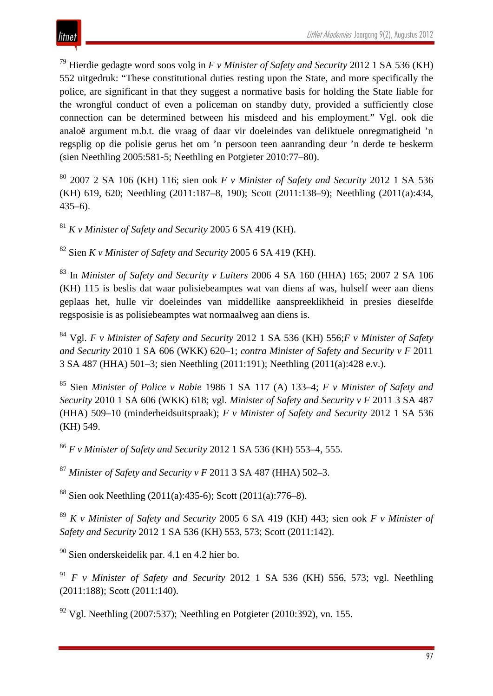<sup>79</sup> Hierdie gedagte word soos volg in *F v Minister of Safety and Security* 2012 1 SA 536 (KH) 552 uitgedruk: "These constitutional duties resting upon the State, and more specifically the police, are significant in that they suggest a normative basis for holding the State liable for the wrongful conduct of even a policeman on standby duty, provided a sufficiently close connection can be determined between his misdeed and his employment." Vgl. ook die analoë argument m.b.t. die vraag of daar vir doeleindes van deliktuele onregmatigheid 'n regsplig op die polisie gerus het om 'n persoon teen aanranding deur 'n derde te beskerm (sien Neethling 2005:581-5; Neethling en Potgieter 2010:77–80).

<sup>80</sup> 2007 2 SA 106 (KH) 116; sien ook *F v Minister of Safety and Security* 2012 1 SA 536 (KH) 619, 620; Neethling (2011:187–8, 190); Scott (2011:138–9); Neethling (2011(a):434, 435–6).

<sup>81</sup> *K v Minister of Safety and Security* 2005 6 SA 419 (KH).

<sup>82</sup> Sien *K v Minister of Safety and Security* 2005 6 SA 419 (KH).

<sup>83</sup> In *Minister of Safety and Security v Luiters* 2006 4 SA 160 (HHA) 165; 2007 2 SA 106 (KH) 115 is beslis dat waar polisiebeamptes wat van diens af was, hulself weer aan diens geplaas het, hulle vir doeleindes van middellike aanspreeklikheid in presies dieselfde regsposisie is as polisiebeamptes wat normaalweg aan diens is.

<sup>84</sup> Vgl. *F v Minister of Safety and Security* 2012 1 SA 536 (KH) 556;*F v Minister of Safety and Security* 2010 1 SA 606 (WKK) 620–1; *contra Minister of Safety and Security v F* 2011 3 SA 487 (HHA) 501–3; sien Neethling (2011:191); Neethling (2011(a):428 e.v.).

<sup>85</sup> Sien *Minister of Police v Rabie* 1986 1 SA 117 (A) 133–4; *F v Minister of Safety and Security* 2010 1 SA 606 (WKK) 618; vgl. *Minister of Safety and Security v F* 2011 3 SA 487 (HHA) 509–10 (minderheidsuitspraak); *F v Minister of Safety and Security* 2012 1 SA 536 (KH) 549.

<sup>86</sup> *F v Minister of Safety and Security* 2012 1 SA 536 (KH) 553–4, 555.

<sup>87</sup> *Minister of Safety and Security v F* 2011 3 SA 487 (HHA) 502–3.

<sup>88</sup> Sien ook Neethling (2011(a):435-6); Scott (2011(a):776–8).

<sup>89</sup> *K v Minister of Safety and Security* 2005 6 SA 419 (KH) 443; sien ook *F v Minister of Safety and Security* 2012 1 SA 536 (KH) 553, 573; Scott (2011:142).

<sup>90</sup> Sien onderskeidelik par. 4.1 en 4.2 hier bo.

<sup>91</sup> *F v Minister of Safety and Security* 2012 1 SA 536 (KH) 556, 573; vgl. Neethling (2011:188); Scott (2011:140).

<sup>92</sup> Vgl. Neethling (2007:537); Neethling en Potgieter (2010:392), vn. 155.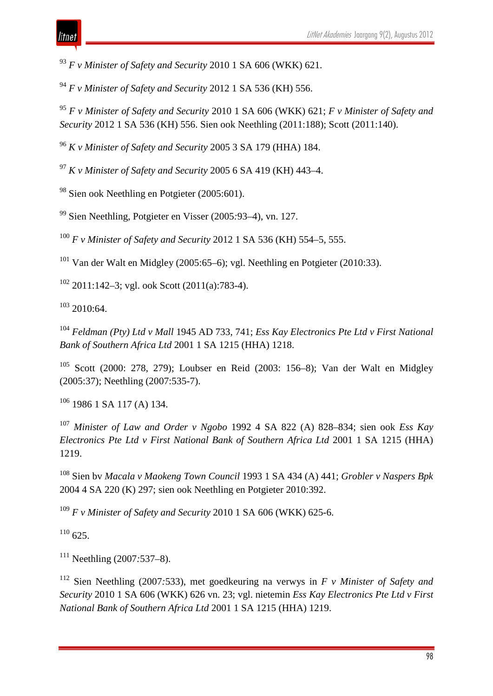*F v Minister of Safety and Security* 2010 1 SA 606 (WKK) 621.

*F v Minister of Safety and Security* 2012 1 SA 536 (KH) 556.

 *F v Minister of Safety and Security* 2010 1 SA 606 (WKK) 621; *F v Minister of Safety and Security* 2012 1 SA 536 (KH) 556. Sien ook Neethling (2011:188); Scott (2011:140).

*K v Minister of Safety and Security* 2005 3 SA 179 (HHA) 184.

*K v Minister of Safety and Security* 2005 6 SA 419 (KH) 443–4.

Sien ook Neethling en Potgieter (2005:601).

Sien Neethling, Potgieter en Visser (2005*:*93–4), vn. 127.

*F v Minister of Safety and Security* 2012 1 SA 536 (KH) 554–5, 555.

Van der Walt en Midgley (2005:65–6); vgl. Neethling en Potgieter (2010:33).

2011:142–3; vgl. ook Scott (2011(a):783-4).

2010:64.

 *Feldman (Pty) Ltd v Mall* 1945 AD 733, 741; *Ess Kay Electronics Pte Ltd v First National Bank of Southern Africa Ltd* 2001 1 SA 1215 (HHA) 1218.

 Scott (2000: 278, 279); Loubser en Reid (2003: 156–8); Van der Walt en Midgley (2005:37); Neethling (2007:535-7).

1986 1 SA 117 (A) 134.

 *Minister of Law and Order v Ngobo* 1992 4 SA 822 (A) 828–834; sien ook *Ess Kay Electronics Pte Ltd v First National Bank of Southern Africa Ltd* 2001 1 SA 1215 (HHA) 1219.

 Sien bv *Macala v Maokeng Town Council* 1993 1 SA 434 (A) 441; *Grobler v Naspers Bpk*  2004 4 SA 220 (K) 297; sien ook Neethling en Potgieter 2010:392.

*F v Minister of Safety and Security* 2010 1 SA 606 (WKK) 625-6.

 $110\,625$ 

Neethling (2007*:*537–8).

 Sien Neethling (2007*:*533), met goedkeuring na verwys in *F v Minister of Safety and Security* 2010 1 SA 606 (WKK) 626 vn. 23; vgl. nietemin *Ess Kay Electronics Pte Ltd v First National Bank of Southern Africa Ltd* 2001 1 SA 1215 (HHA) 1219.